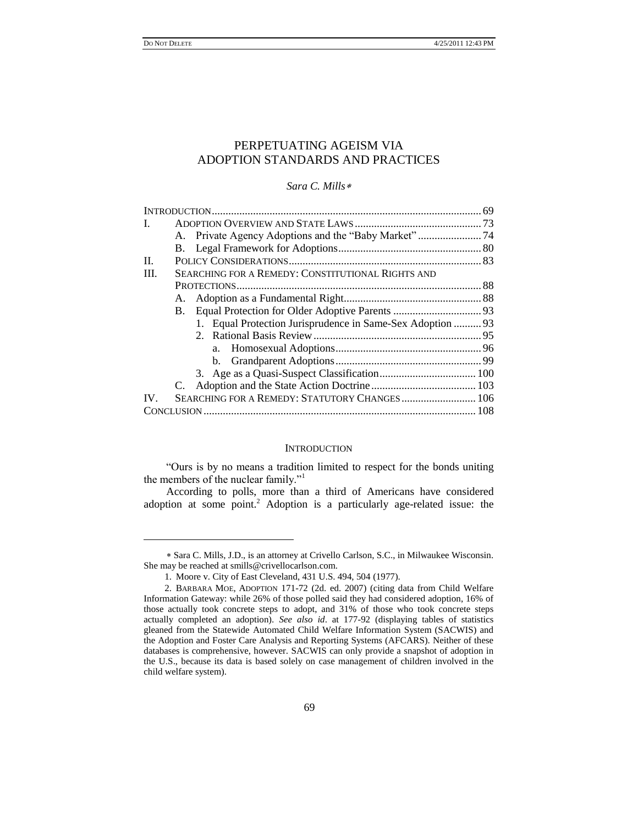l

# PERPETUATING AGEISM VIA ADOPTION STANDARDS AND PRACTICES

# *Sara C. Mills*

| L.                |                                                   |                                                            |  |
|-------------------|---------------------------------------------------|------------------------------------------------------------|--|
|                   |                                                   |                                                            |  |
|                   | B.                                                |                                                            |  |
| H.                |                                                   |                                                            |  |
| III.              | SEARCHING FOR A REMEDY: CONSTITUTIONAL RIGHTS AND |                                                            |  |
|                   |                                                   |                                                            |  |
|                   | A.                                                |                                                            |  |
|                   | B.                                                |                                                            |  |
|                   |                                                   | 1. Equal Protection Jurisprudence in Same-Sex Adoption  93 |  |
|                   |                                                   |                                                            |  |
|                   |                                                   |                                                            |  |
|                   |                                                   |                                                            |  |
|                   |                                                   |                                                            |  |
|                   | C.                                                |                                                            |  |
| $\mathbf{IV}_{-}$ |                                                   | SEARCHING FOR A REMEDY: STATUTORY CHANGES 106              |  |
|                   |                                                   |                                                            |  |
|                   |                                                   |                                                            |  |

### **INTRODUCTION**

―Ours is by no means a tradition limited to respect for the bonds uniting the members of the nuclear family."<sup>1</sup>

According to polls, more than a third of Americans have considered adoption at some point.<sup>2</sup> Adoption is a particularly age-related issue: the

Sara C. Mills, J.D., is an attorney at Crivello Carlson, S.C., in Milwaukee Wisconsin. She may be reached at smills@crivellocarlson.com.

<sup>1.</sup> Moore v. City of East Cleveland, 431 U.S. 494, 504 (1977).

<sup>2.</sup> BARBARA MOE, ADOPTION 171-72 (2d. ed. 2007) (citing data from Child Welfare Information Gateway: while 26% of those polled said they had considered adoption, 16% of those actually took concrete steps to adopt, and 31% of those who took concrete steps actually completed an adoption). *See also id*. at 177-92 (displaying tables of statistics gleaned from the Statewide Automated Child Welfare Information System (SACWIS) and the Adoption and Foster Care Analysis and Reporting Systems (AFCARS). Neither of these databases is comprehensive, however. SACWIS can only provide a snapshot of adoption in the U.S., because its data is based solely on case management of children involved in the child welfare system).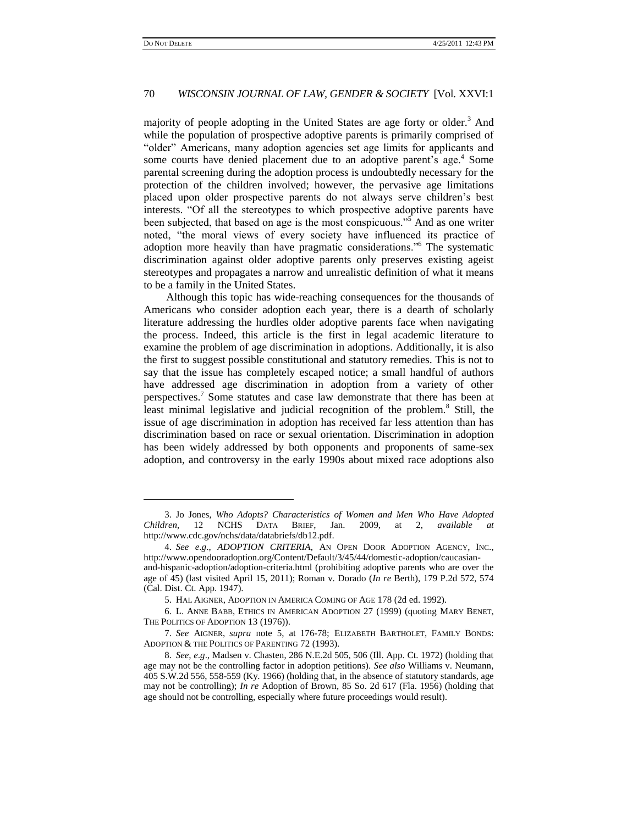## 70 *WISCONSIN JOURNAL OF LAW, GENDER & SOCIETY* [Vol. XXVI:1

majority of people adopting in the United States are age forty or older.<sup>3</sup> And while the population of prospective adoptive parents is primarily comprised of "older" Americans, many adoption agencies set age limits for applicants and some courts have denied placement due to an adoptive parent's age.<sup>4</sup> Some parental screening during the adoption process is undoubtedly necessary for the protection of the children involved; however, the pervasive age limitations placed upon older prospective parents do not always serve children's best interests. "Of all the stereotypes to which prospective adoptive parents have been subjected, that based on age is the most conspicuous."<sup>5</sup> And as one writer noted, "the moral views of every society have influenced its practice of adoption more heavily than have pragmatic considerations."<sup>6</sup> The systematic discrimination against older adoptive parents only preserves existing ageist stereotypes and propagates a narrow and unrealistic definition of what it means to be a family in the United States.

Although this topic has wide-reaching consequences for the thousands of Americans who consider adoption each year, there is a dearth of scholarly literature addressing the hurdles older adoptive parents face when navigating the process. Indeed, this article is the first in legal academic literature to examine the problem of age discrimination in adoptions. Additionally, it is also the first to suggest possible constitutional and statutory remedies. This is not to say that the issue has completely escaped notice; a small handful of authors have addressed age discrimination in adoption from a variety of other perspectives.<sup>7</sup> Some statutes and case law demonstrate that there has been at least minimal legislative and judicial recognition of the problem.<sup>8</sup> Still, the issue of age discrimination in adoption has received far less attention than has discrimination based on race or sexual orientation. Discrimination in adoption has been widely addressed by both opponents and proponents of same-sex adoption, and controversy in the early 1990s about mixed race adoptions also

<sup>3.</sup> Jo Jones, *Who Adopts? Characteristics of Women and Men Who Have Adopted Children*, 12 NCHS DATA BRIEF, Jan. 2009, at 2, *available at* [http://www.cdc.gov/nchs/data/databriefs/db12.pdf.](http://www.cdc.gov/nchs/data/databriefs/db12.pdf)

<sup>4.</sup> *See e*.*g*., *ADOPTION CRITERIA,* AN OPEN DOOR ADOPTION AGENCY, INC., http://www.opendooradoption.org/Content/Default/3/45/44/domestic-adoption/caucasianand-hispanic-adoption/adoption-criteria.html (prohibiting adoptive parents who are over the age of 45) (last visited April 15, 2011); Roman v. Dorado (*In re* Berth), 179 P.2d 572, 574 (Cal. Dist. Ct. App. 1947).

<sup>5.</sup> HAL AIGNER, ADOPTION IN AMERICA COMING OF AGE 178 (2d ed. 1992).

<sup>6.</sup> L. ANNE BABB, ETHICS IN AMERICAN ADOPTION 27 (1999) (quoting MARY BENET, THE POLITICS OF ADOPTION 13 (1976)).

<sup>7.</sup> *See* AIGNER, *supra* note 5, at 176-78; ELIZABETH BARTHOLET, FAMILY BONDS: ADOPTION & THE POLITICS OF PARENTING 72 (1993).

<sup>8.</sup> *See, e*.*g*., Madsen v. Chasten, 286 N.E.2d 505, 506 (Ill. App. Ct. 1972) (holding that age may not be the controlling factor in adoption petitions). *See also* Williams v. Neumann, 405 S.W.2d 556, 558-559 (Ky. 1966) (holding that, in the absence of statutory standards, age may not be controlling); *In re* Adoption of Brown*,* 85 So. 2d 617 (Fla. 1956) (holding that age should not be controlling, especially where future proceedings would result).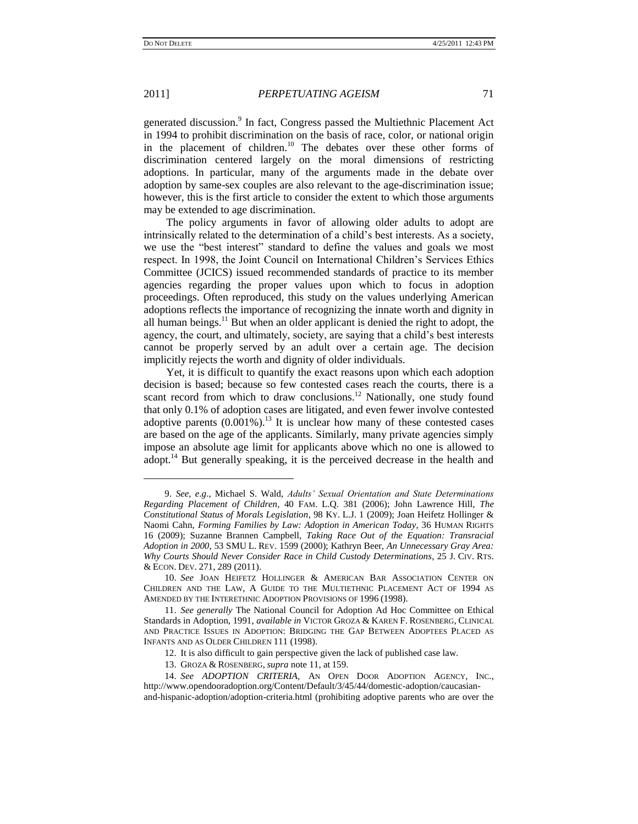### 2011] *PERPETUATING AGEISM* 71

generated discussion.<sup>9</sup> In fact, Congress passed the Multiethnic Placement Act in 1994 to prohibit discrimination on the basis of race, color, or national origin in the placement of children.<sup>10</sup> The debates over these other forms of discrimination centered largely on the moral dimensions of restricting adoptions. In particular, many of the arguments made in the debate over adoption by same-sex couples are also relevant to the age-discrimination issue; however, this is the first article to consider the extent to which those arguments may be extended to age discrimination.

The policy arguments in favor of allowing older adults to adopt are intrinsically related to the determination of a child's best interests. As a society, we use the "best interest" standard to define the values and goals we most respect. In 1998, the Joint Council on International Children's Services Ethics Committee (JCICS) issued recommended standards of practice to its member agencies regarding the proper values upon which to focus in adoption proceedings. Often reproduced, this study on the values underlying American adoptions reflects the importance of recognizing the innate worth and dignity in all human beings.<sup>11</sup> But when an older applicant is denied the right to adopt, the agency, the court, and ultimately, society, are saying that a child's best interests cannot be properly served by an adult over a certain age. The decision implicitly rejects the worth and dignity of older individuals.

Yet, it is difficult to quantify the exact reasons upon which each adoption decision is based; because so few contested cases reach the courts, there is a scant record from which to draw conclusions.<sup>12</sup> Nationally, one study found that only 0.1% of adoption cases are litigated, and even fewer involve contested adoptive parents  $(0.001\%)$ .<sup>13</sup> It is unclear how many of these contested cases are based on the age of the applicants. Similarly, many private agencies simply impose an absolute age limit for applicants above which no one is allowed to adopt.<sup>14</sup> But generally speaking, it is the perceived decrease in the health and

<sup>9.</sup> *See, e*.*g*., Michael S. Wald, *Adults' Sexual Orientation and State Determinations Regarding Placement of Children*, 40 FAM. L.Q. 381 (2006); John Lawrence Hill, *The Constitutional Status of Morals Legislation*, 98 KY. L.J. 1 (2009); Joan Heifetz Hollinger & Naomi Cahn, *Forming Families by Law: Adoption in American Today*, 36 HUMAN RIGHTS 16 (2009); Suzanne Brannen Campbell, *Taking Race Out of the Equation: Transracial Adoption in 2000*, 53 SMU L. REV. 1599 (2000); Kathryn Beer, *An Unnecessary Gray Area: Why Courts Should Never Consider Race in Child Custody Determinations*, 25 J. CIV. RTS. & ECON. DEV. 271, 289 (2011).

<sup>10.</sup> *See* JOAN HEIFETZ HOLLINGER & AMERICAN BAR ASSOCIATION CENTER ON CHILDREN AND THE LAW, A GUIDE TO THE MULTIETHNIC PLACEMENT ACT OF 1994 AS AMENDED BY THE INTERETHNIC ADOPTION PROVISIONS OF 1996 (1998).

<sup>11.</sup> *See generally* The National Council for Adoption Ad Hoc Committee on Ethical Standards in Adoption, 1991, *available in* VICTOR GROZA & KAREN F. ROSENBERG, CLINICAL AND PRACTICE ISSUES IN ADOPTION: BRIDGING THE GAP BETWEEN ADOPTEES PLACED AS INFANTS AND AS OLDER CHILDREN 111 (1998).

<sup>12.</sup> It is also difficult to gain perspective given the lack of published case law.

<sup>13.</sup> GROZA & ROSENBERG, *supra* note 11, at 159.

<sup>14.</sup> *See ADOPTION CRITERIA,* AN OPEN DOOR ADOPTION AGENCY, INC., http://www.opendooradoption.org/Content/Default/3/45/44/domestic-adoption/caucasianand-hispanic-adoption/adoption-criteria.html (prohibiting adoptive parents who are over the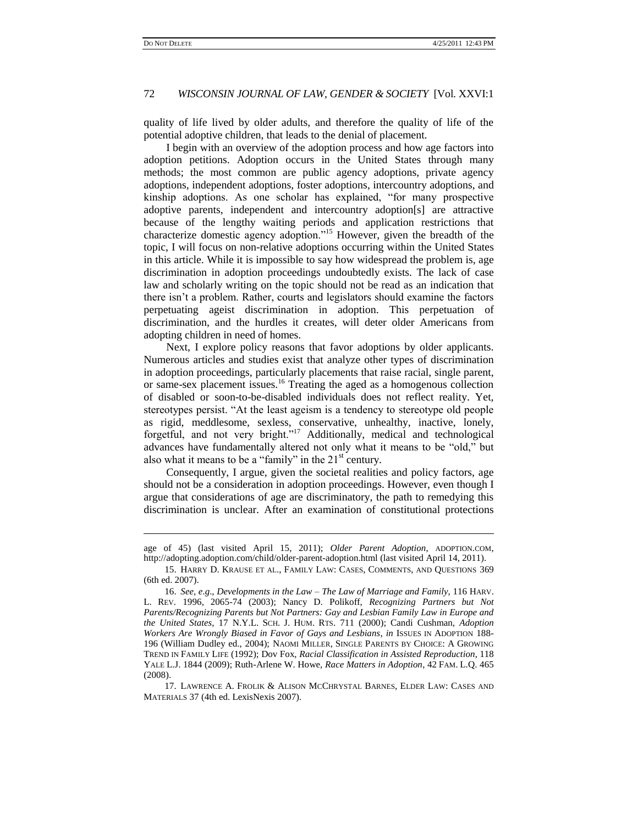## 72 *WISCONSIN JOURNAL OF LAW, GENDER & SOCIETY* [Vol. XXVI:1

quality of life lived by older adults, and therefore the quality of life of the potential adoptive children, that leads to the denial of placement.

I begin with an overview of the adoption process and how age factors into adoption petitions. Adoption occurs in the United States through many methods; the most common are public agency adoptions, private agency adoptions, independent adoptions, foster adoptions, intercountry adoptions, and kinship adoptions. As one scholar has explained, "for many prospective adoptive parents, independent and intercountry adoption[s] are attractive because of the lengthy waiting periods and application restrictions that characterize domestic agency adoption."<sup>15</sup> However, given the breadth of the topic, I will focus on non-relative adoptions occurring within the United States in this article. While it is impossible to say how widespread the problem is, age discrimination in adoption proceedings undoubtedly exists. The lack of case law and scholarly writing on the topic should not be read as an indication that there isn't a problem. Rather, courts and legislators should examine the factors perpetuating ageist discrimination in adoption. This perpetuation of discrimination, and the hurdles it creates, will deter older Americans from adopting children in need of homes.

Next, I explore policy reasons that favor adoptions by older applicants. Numerous articles and studies exist that analyze other types of discrimination in adoption proceedings, particularly placements that raise racial, single parent, or same-sex placement issues.<sup>16</sup> Treating the aged as a homogenous collection of disabled or soon-to-be-disabled individuals does not reflect reality. Yet, stereotypes persist. "At the least ageism is a tendency to stereotype old people as rigid, meddlesome, sexless, conservative, unhealthy, inactive, lonely, forgetful, and not very bright."<sup>17</sup> Additionally, medical and technological advances have fundamentally altered not only what it means to be "old," but also what it means to be a "family" in the  $21<sup>st</sup>$  century.

Consequently, I argue, given the societal realities and policy factors, age should not be a consideration in adoption proceedings. However, even though I argue that considerations of age are discriminatory, the path to remedying this discrimination is unclear. After an examination of constitutional protections

age of 45) (last visited April 15, 2011); *Older Parent Adoption*, ADOPTION.COM, <http://adopting.adoption.com/child/older-parent-adoption.html> (last visited April 14, 2011).

<sup>15.</sup> HARRY D. KRAUSE ET AL., FAMILY LAW: CASES, COMMENTS, AND QUESTIONS 369 (6th ed. 2007).

<sup>16.</sup> *See, e*.*g*.*, Developments in the Law – The Law of Marriage and Family*, 116 HARV. L. REV. 1996, 2065-74 (2003); Nancy D. Polikoff, *Recognizing Partners but Not Parents/Recognizing Parents but Not Partners: Gay and Lesbian Family Law in Europe and the United States*, 17 N.Y.L. SCH. J. HUM. RTS. 711 (2000); Candi Cushman, *Adoption Workers Are Wrongly Biased in Favor of Gays and Lesbians*, *in* ISSUES IN ADOPTION 188- 196 (William Dudley ed., 2004); NAOMI MILLER, SINGLE PARENTS BY CHOICE: A GROWING TREND IN FAMILY LIFE (1992); Dov Fox, *Racial Classification in Assisted Reproduction*, 118 YALE L.J. 1844 (2009); Ruth-Arlene W. Howe, *Race Matters in Adoption*, 42 FAM. L.Q. 465 (2008).

<sup>17.</sup> LAWRENCE A. FROLIK & ALISON MCCHRYSTAL BARNES, ELDER LAW: CASES AND MATERIALS 37 (4th ed. LexisNexis 2007).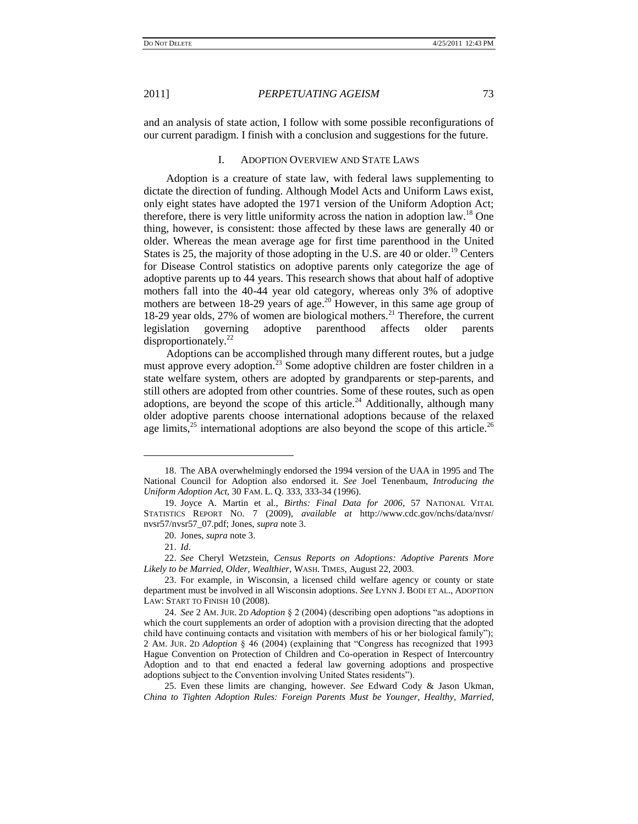and an analysis of state action, I follow with some possible reconfigurations of our current paradigm. I finish with a conclusion and suggestions for the future.

## I. ADOPTION OVERVIEW AND STATE LAWS

Adoption is a creature of state law, with federal laws supplementing to dictate the direction of funding. Although Model Acts and Uniform Laws exist, only eight states have adopted the 1971 version of the Uniform Adoption Act; therefore, there is very little uniformity across the nation in adoption law.<sup>18</sup> One thing, however, is consistent: those affected by these laws are generally 40 or older. Whereas the mean average age for first time parenthood in the United States is 25, the majority of those adopting in the U.S. are 40 or older.<sup>19</sup> Centers for Disease Control statistics on adoptive parents only categorize the age of adoptive parents up to 44 years. This research shows that about half of adoptive mothers fall into the 40-44 year old category, whereas only 3% of adoptive mothers are between  $18-29$  years of age.<sup>20</sup> However, in this same age group of 18-29 year olds, 27% of women are biological mothers.<sup>21</sup> Therefore, the current legislation governing adoptive parenthood affects older parents disproportionately. $^{22}$ 

Adoptions can be accomplished through many different routes, but a judge must approve every adoption.<sup>23</sup> Some adoptive children are foster children in a state welfare system, others are adopted by grandparents or step-parents, and still others are adopted from other countries. Some of these routes, such as open adoptions, are beyond the scope of this article.<sup>24</sup> Additionally, although many older adoptive parents choose international adoptions because of the relaxed age limits, $25$  international adoptions are also beyond the scope of this article.<sup>26</sup>

<sup>18.</sup> The ABA overwhelmingly endorsed the 1994 version of the UAA in 1995 and The National Council for Adoption also endorsed it. *See* Joel Tenenbaum, *Introducing the Uniform Adoption Act,* 30 FAM. L. Q. 333, 333-34 (1996).

<sup>19.</sup> Joyce A. Martin et al., *Births: Final Data for 2006*, 57 NATIONAL VITAL STATISTICS REPORT NO. 7 (2009), *available at* http://www.cdc.gov/nchs/data/nvsr/ nvsr57/nvsr57\_07.pdf; Jones, *supra* note 3.

<sup>20.</sup> Jones, *supra* note 3.

<sup>21.</sup> *Id*.

<sup>22.</sup> *See* Cheryl Wetzstein, *Census Reports on Adoptions: Adoptive Parents More Likely to be Married, Older, Wealthier*, WASH. TIMES, August 22, 2003.

<sup>23.</sup> For example, in Wisconsin, a licensed child welfare agency or county or state department must be involved in all Wisconsin adoptions. *See* LYNN J. BODI ET AL., ADOPTION LAW: START TO FINISH 10 (2008).

<sup>24.</sup> *See* 2 AM. JUR. 2D *Adoption* § 2 (2004) (describing open adoptions "as adoptions in which the court supplements an order of adoption with a provision directing that the adopted child have continuing contacts and visitation with members of his or her biological family"); 2 AM. JUR. 2D *Adoption* § 46 (2004) (explaining that "Congress has recognized that 1993 Hague Convention on Protection of Children and Co-operation in Respect of Intercountry Adoption and to that end enacted a federal law governing adoptions and prospective adoptions subject to the Convention involving United States residents").

<sup>25.</sup> Even these limits are changing, however. *See* Edward Cody & Jason Ukman, *China to Tighten Adoption Rules: Foreign Parents Must be Younger, Healthy, Married*,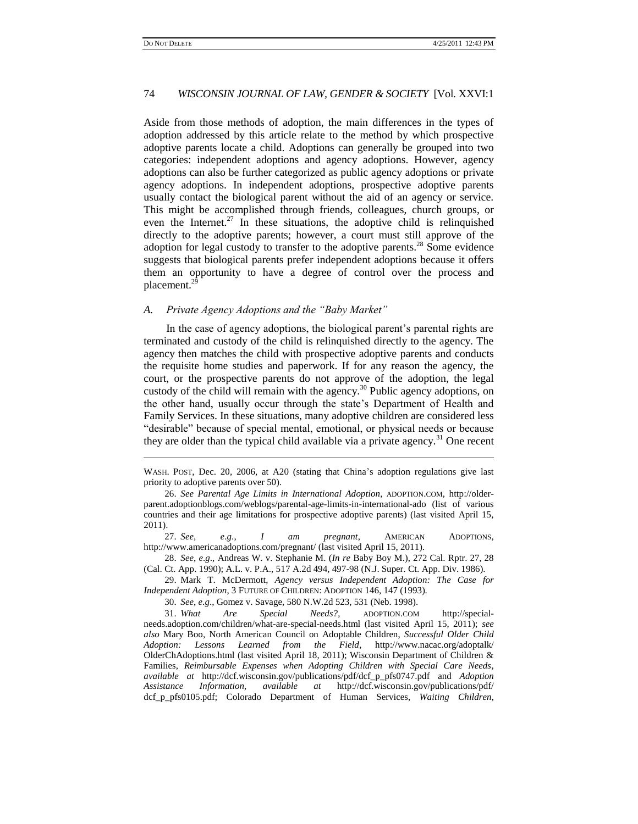### 74 *WISCONSIN JOURNAL OF LAW, GENDER & SOCIETY* [Vol. XXVI:1

Aside from those methods of adoption, the main differences in the types of adoption addressed by this article relate to the method by which prospective adoptive parents locate a child. Adoptions can generally be grouped into two categories: independent adoptions and agency adoptions. However, agency adoptions can also be further categorized as public agency adoptions or private agency adoptions. In independent adoptions, prospective adoptive parents usually contact the biological parent without the aid of an agency or service. This might be accomplished through friends, colleagues, church groups, or even the Internet.<sup>27</sup> In these situations, the adoptive child is relinquished directly to the adoptive parents; however, a court must still approve of the adoption for legal custody to transfer to the adoptive parents.<sup>28</sup> Some evidence suggests that biological parents prefer independent adoptions because it offers them an opportunity to have a degree of control over the process and placement.<sup>2</sup>

### *A. Private Agency Adoptions and the "Baby Market"*

In the case of agency adoptions, the biological parent's parental rights are terminated and custody of the child is relinquished directly to the agency. The agency then matches the child with prospective adoptive parents and conducts the requisite home studies and paperwork. If for any reason the agency, the court, or the prospective parents do not approve of the adoption, the legal custody of the child will remain with the agency.<sup>30</sup> Public agency adoptions, on the other hand, usually occur through the state's Department of Health and Family Services. In these situations, many adoptive children are considered less "desirable" because of special mental, emotional, or physical needs or because they are older than the typical child available via a private agency.<sup>31</sup> One recent

WASH. POST, Dec. 20, 2006, at A20 (stating that China's adoption regulations give last priority to adoptive parents over 50).

27. *See, e*.*g*., *I am pregnant*, AMERICAN ADOPTIONS, <http://www.americanadoptions.com/pregnant/> (last visited April 15, 2011).

28. *See, e*.*g*.*,* Andreas W. v. Stephanie M. (*In re* Baby Boy M.), 272 Cal. Rptr. 27, 28 (Cal. Ct. App. 1990); A.L. v. P.A., 517 A.2d 494, 497-98 (N.J. Super. Ct. App. Div. 1986).

29. Mark T. McDermott, *Agency versus Independent Adoption: The Case for Independent Adoption*, 3 FUTURE OF CHILDREN: ADOPTION 146, 147 (1993).

30. *See, e*.*g*., Gomez v. Savage, 580 N.W.2d 523, 531 (Neb. 1998).

31. *What Are Special Needs?*, ADOPTION.COM [http://special](http://special-needs.adoption.com/children/what-are-special-needs.html)[needs.adoption.com/children/what-are-special-needs.html](http://special-needs.adoption.com/children/what-are-special-needs.html) (last visited April 15, 2011); *see also* Mary Boo, North American Council on Adoptable Children, *Successful Older Child Adoption: Lessons Learned from the Field*, http://www.nacac.org/adoptalk/ OlderChAdoptions.html (last visited April 18, 2011); Wisconsin Department of Children & Families, *Reimbursable Expenses when Adopting Children with Special Care Needs*, *available at* [http://dcf.wisconsin.gov/publications/pdf/dcf\\_p\\_pfs0747.pdf](http://dcf.wisconsin.gov/publications/pdf/dcf_p_pfs0747.pdf) and *Adoption Assistance Information*, *available at* http://dcf.wisconsin.gov/publications/pdf/ dcf\_p\_pfs0105.pdf; Colorado Department of Human Services, *Waiting Children*,

<sup>26.</sup> *See Parental Age Limits in International Adoption*, ADOPTION.COM, [http://older](http://older-parent.adoptionblogs.com/weblogs/parental-age-limits-in-international-ado)[parent.adoptionblogs.com/weblogs/parental-age-limits-in-international-ado](http://older-parent.adoptionblogs.com/weblogs/parental-age-limits-in-international-ado) (list of various countries and their age limitations for prospective adoptive parents) (last visited April 15, 2011).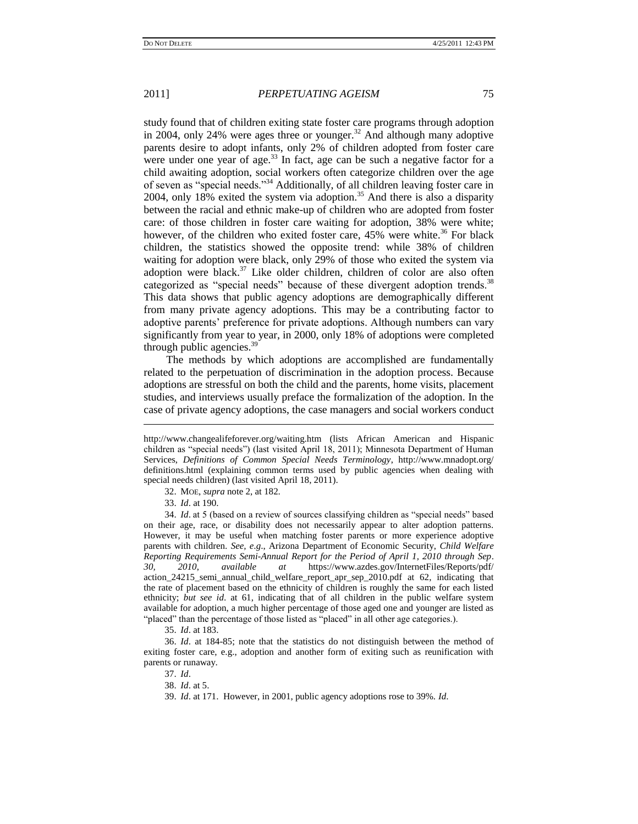study found that of children exiting state foster care programs through adoption in 2004, only 24% were ages three or younger.<sup>32</sup> And although many adoptive parents desire to adopt infants, only 2% of children adopted from foster care were under one year of age.<sup>33</sup> In fact, age can be such a negative factor for a child awaiting adoption, social workers often categorize children over the age of seven as "special needs."<sup>34</sup> Additionally, of all children leaving foster care in 2004, only  $18\%$  exited the system via adoption.<sup>35</sup> And there is also a disparity between the racial and ethnic make-up of children who are adopted from foster care: of those children in foster care waiting for adoption, 38% were white; however, of the children who exited foster care, 45% were white.<sup>36</sup> For black children, the statistics showed the opposite trend: while 38% of children waiting for adoption were black, only 29% of those who exited the system via adoption were black. $37$  Like older children, children of color are also often categorized as "special needs" because of these divergent adoption trends.<sup>38</sup>

This data shows that public agency adoptions are demographically different from many private agency adoptions. This may be a contributing factor to adoptive parents' preference for private adoptions. Although numbers can vary significantly from year to year, in 2000, only 18% of adoptions were completed through public agencies.<sup>39</sup>

The methods by which adoptions are accomplished are fundamentally related to the perpetuation of discrimination in the adoption process. Because adoptions are stressful on both the child and the parents, home visits, placement studies, and interviews usually preface the formalization of the adoption. In the case of private agency adoptions, the case managers and social workers conduct

32. MOE, *supra* note 2, at 182.

33. *Id*. at 190.

 $\overline{a}$ 

34. *Id.* at 5 (based on a review of sources classifying children as "special needs" based on their age, race, or disability does not necessarily appear to alter adoption patterns. However, it may be useful when matching foster parents or more experience adoptive parents with children. *See, e*.*g*., Arizona Department of Economic Security, *Child Welfare Reporting Requirements Semi-Annual Report for the Period of April 1, 2010 through Sep*. *30, 2010*, *available at* https://www.azdes.gov/InternetFiles/Reports/pdf/ action\_24215\_semi\_annual\_child\_welfare\_report\_apr\_sep\_2010.pdf at 62, indicating that the rate of placement based on the ethnicity of children is roughly the same for each listed ethnicity; *but see id*. at 61, indicating that of all children in the public welfare system available for adoption, a much higher percentage of those aged one and younger are listed as "placed" than the percentage of those listed as "placed" in all other age categories.).

35. *Id*. at 183.

36. *Id*. at 184-85; note that the statistics do not distinguish between the method of exiting foster care, e.g., adoption and another form of exiting such as reunification with parents or runaway.

37. *Id*.

38. *Id*. at 5.

<http://www.changealifeforever.org/waiting.htm> (lists African American and Hispanic children as "special needs") (last visited April 18, 2011); Minnesota Department of Human Services, *Definitions of Common Special Needs Terminology*, http://www.mnadopt.org/ definitions.html (explaining common terms used by public agencies when dealing with special needs children) (last visited April 18, 2011).

<sup>39.</sup> *Id*. at 171. However, in 2001, public agency adoptions rose to 39%. *Id*.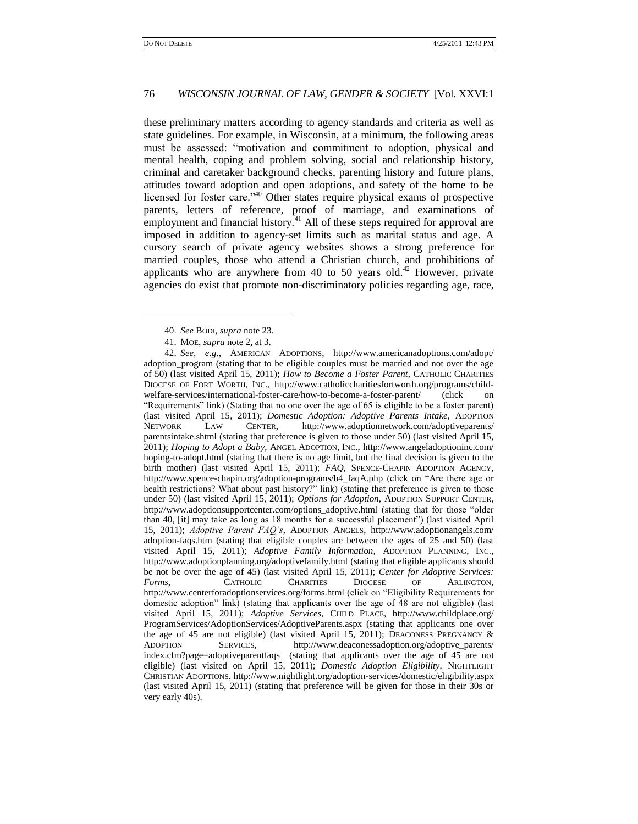these preliminary matters according to agency standards and criteria as well as state guidelines. For example, in Wisconsin, at a minimum, the following areas must be assessed: "motivation and commitment to adoption, physical and mental health, coping and problem solving, social and relationship history, criminal and caretaker background checks, parenting history and future plans, attitudes toward adoption and open adoptions, and safety of the home to be licensed for foster care."<sup>40</sup> Other states require physical exams of prospective parents, letters of reference, proof of marriage, and examinations of employment and financial history.<sup>41</sup> All of these steps required for approval are imposed in addition to agency-set limits such as marital status and age. A cursory search of private agency websites shows a strong preference for married couples, those who attend a Christian church, and prohibitions of applicants who are anywhere from 40 to 50 years old.<sup>42</sup> However, private agencies do exist that promote non-discriminatory policies regarding age, race,

<sup>40.</sup> *See* BODI, *supra* note 23.

<sup>41.</sup> MOE, *supra* note 2, at 3.

<sup>42.</sup> *See, e*.*g*., AMERICAN ADOPTIONS, http://www.americanadoptions.com/adopt/ adoption\_program (stating that to be eligible couples must be married and not over the age of 50) (last visited April 15, 2011); *How to Become a Foster Parent*, CATHOLIC CHARITIES DIOCESE OF FORT WORTH, INC., [http://www.catholiccharitiesfortworth.org/programs/child](http://www.catholiccharitiesfortworth.org/programs/child-welfare-services/international-foster-care/how-to-become-a-foster-parent/)[welfare-services/international-foster-care/how-to-become-a-foster-parent/](http://www.catholiccharitiesfortworth.org/programs/child-welfare-services/international-foster-care/how-to-become-a-foster-parent/) (click ―Requirements‖ link) (Stating that no one over the age of 65 is eligible to be a foster parent) (last visited April 15, 2011); *Domestic Adoption: Adoptive Parents Intake*, ADOPTION NETWORK LAW CENTER, http://www.adoptionnetwork.com/adoptiveparents/ parentsintake.shtml (stating that preference is given to those under 50) (last visited April 15, 2011); *Hoping to Adopt a Baby*, ANGEL ADOPTION, INC., http://www.angeladoptioninc.com/ hoping-to-adopt.html (stating that there is no age limit, but the final decision is given to the birth mother) (last visited April 15, 2011); *FAQ*, SPENCE-CHAPIN ADOPTION AGENCY, [http://www.spence-chapin.org/adoption-programs/b4\\_faqA.php](http://www.spence-chapin.org/adoption-programs/b4_faqA.php) (click on "Are there age or health restrictions? What about past history?" link) (stating that preference is given to those under 50) (last visited April 15, 2011); *Options for Adoption*, ADOPTION SUPPORT CENTER, [http://www.adoptionsupportcenter.com/options\\_adoptive.html](http://www.adoptionsupportcenter.com/options_adoptive.html) (stating that for those "older than 40, [it] may take as long as 18 months for a successful placement") (last visited April 15, 2011); *Adoptive Parent FAQ's*, ADOPTION ANGELS, http://www.adoptionangels.com/ adoption-faqs.htm (stating that eligible couples are between the ages of 25 and 50) (last visited April 15, 2011); *Adoptive Family Information*, ADOPTION PLANNING, INC., <http://www.adoptionplanning.org/adoptivefamily.html> (stating that eligible applicants should be not be over the age of 45) (last visited April 15, 2011); *Center for Adoptive Services: Forms*, CATHOLIC CHARITIES DIOCESE OF ARLINGTON, <http://www.centerforadoptionservices.org/forms.html> (click on "Eligibility Requirements for domestic adoption" link) (stating that applicants over the age of 48 are not eligible) (last visited April 15, 2011); *Adoptive Services*, CHILD PLACE, http://www.childplace.org/ ProgramServices/AdoptionServices/AdoptiveParents.aspx (stating that applicants one over the age of 45 are not eligible) (last visited April 15, 2011); DEACONESS PREGNANCY & ADOPTION SERVICES, http://www.deaconessadoption.org/adoptive\_parents/ index.cfm?page=adoptiveparentfaqs (stating that applicants over the age of 45 are not eligible) (last visited on April 15, 2011); *Domestic Adoption Eligibility*, NIGHTLIGHT CHRISTIAN ADOPTIONS,<http://www.nightlight.org/adoption-services/domestic/eligibility.aspx> (last visited April 15, 2011) (stating that preference will be given for those in their 30s or very early 40s).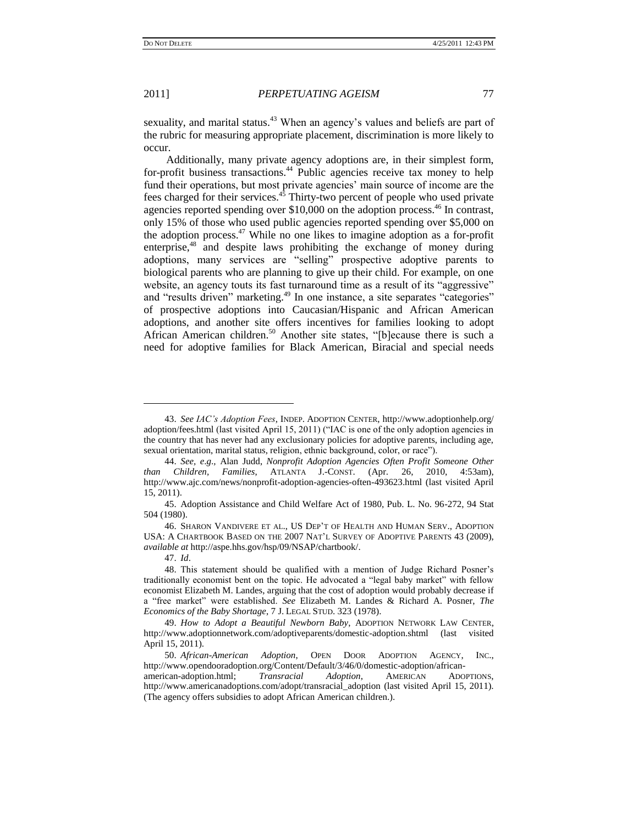sexuality, and marital status.<sup>43</sup> When an agency's values and beliefs are part of the rubric for measuring appropriate placement, discrimination is more likely to occur.

Additionally, many private agency adoptions are, in their simplest form, for-profit business transactions.<sup>44</sup> Public agencies receive tax money to help fund their operations, but most private agencies' main source of income are the fees charged for their services.<sup>45</sup> Thirty-two percent of people who used private agencies reported spending over \$10,000 on the adoption process.<sup>46</sup> In contrast, only 15% of those who used public agencies reported spending over \$5,000 on the adoption process.<sup>47</sup> While no one likes to imagine adoption as a for-profit enterprise,<sup>48</sup> and despite laws prohibiting the exchange of money during adoptions, many services are "selling" prospective adoptive parents to biological parents who are planning to give up their child. For example, on one website, an agency touts its fast turnaround time as a result of its "aggressive" and "results driven" marketing.<sup>49</sup> In one instance, a site separates "categories" of prospective adoptions into Caucasian/Hispanic and African American adoptions, and another site offers incentives for families looking to adopt African American children.<sup>50</sup> Another site states, "[b]ecause there is such a need for adoptive families for Black American, Biracial and special needs

46. SHARON VANDIVERE ET AL., US DEP'T OF HEALTH AND HUMAN SERV., ADOPTION USA: A CHARTBOOK BASED ON THE 2007 NAT'L SURVEY OF ADOPTIVE PARENTS 43 (2009), *available at* [http://aspe.hhs.gov/hsp/09/NSAP/chartbook/.](http://aspe.hhs.gov/hsp/09/NSAP/chartbook/)

<sup>43.</sup> *See IAC's Adoption Fees*, INDEP. ADOPTION CENTER, http://www.adoptionhelp.org/ adoption/fees.html (last visited April 15, 2011) ("IAC is one of the only adoption agencies in the country that has never had any exclusionary policies for adoptive parents, including age, sexual orientation, marital status, religion, ethnic background, color, or race").

<sup>44.</sup> *See, e*.*g*.*,* Alan Judd, *Nonprofit Adoption Agencies Often Profit Someone Other than Children, Families*, ATLANTA J.-CONST. (Apr. 26, 2010, 4:53am), <http://www.ajc.com/news/nonprofit-adoption-agencies-often-493623.html> (last visited April 15, 2011).

<sup>45.</sup> Adoption Assistance and Child Welfare Act of 1980, Pub. L. No. 96-272, 94 Stat 504 (1980).

<sup>47.</sup> *Id*.

<sup>48.</sup> This statement should be qualified with a mention of Judge Richard Posner's traditionally economist bent on the topic. He advocated a "legal baby market" with fellow economist Elizabeth M. Landes, arguing that the cost of adoption would probably decrease if a "free market" were established. *See* Elizabeth M. Landes & Richard A. Posner, *The Economics of the Baby Shortage*, 7 J. LEGAL STUD. 323 (1978).

<sup>49.</sup> *How to Adopt a Beautiful Newborn Baby*, ADOPTION NETWORK LAW CENTER, <http://www.adoptionnetwork.com/adoptiveparents/domestic-adoption.shtml> (last visited April 15, 2011).

<sup>50.</sup> *African-American Adoption*, OPEN DOOR ADOPTION AGENCY, INC., [http://www.opendooradoption.org/Content/Default/3/46/0/domestic-adoption/african-](http://www.opendooradoption.org/Content/Default/3/46/0/domestic-adoption/african-american-adoption.html)

[american-adoption.html;](http://www.opendooradoption.org/Content/Default/3/46/0/domestic-adoption/african-american-adoption.html) *Transracial Adoption*, AMERICAN ADOPTIONS, [http://www.americanadoptions.com/adopt/transracial\\_adoption](http://www.americanadoptions.com/adopt/transracial_adoption) (last visited April 15, 2011). (The agency offers subsidies to adopt African American children.).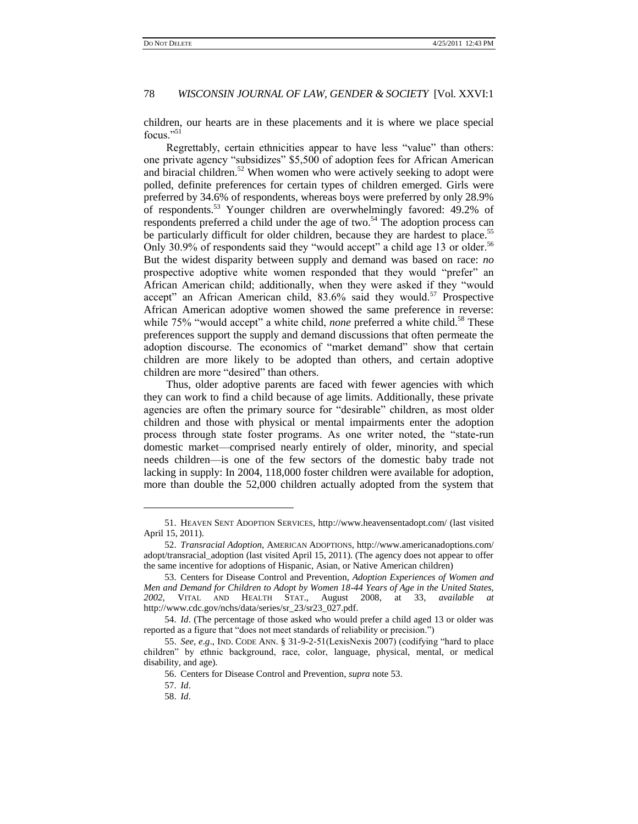children, our hearts are in these placements and it is where we place special focus." $51$ 

Regrettably, certain ethnicities appear to have less "value" than others: one private agency "subsidizes" \$5,500 of adoption fees for African American and biracial children.<sup>52</sup> When women who were actively seeking to adopt were polled, definite preferences for certain types of children emerged. Girls were preferred by 34.6% of respondents, whereas boys were preferred by only 28.9% of respondents.<sup>53</sup> Younger children are overwhelmingly favored: 49.2% of respondents preferred a child under the age of two.<sup>54</sup> The adoption process can be particularly difficult for older children, because they are hardest to place.<sup>55</sup> Only 30.9% of respondents said they "would accept" a child age 13 or older.<sup>56</sup> But the widest disparity between supply and demand was based on race: *no* prospective adoptive white women responded that they would "prefer" an African American child; additionally, when they were asked if they "would accept" an African American child,  $83.6\%$  said they would.<sup>57</sup> Prospective African American adoptive women showed the same preference in reverse: while 75% "would accept" a white child, *none* preferred a white child.<sup>58</sup> These preferences support the supply and demand discussions that often permeate the adoption discourse. The economics of "market demand" show that certain children are more likely to be adopted than others, and certain adoptive children are more "desired" than others.

Thus, older adoptive parents are faced with fewer agencies with which they can work to find a child because of age limits. Additionally, these private agencies are often the primary source for "desirable" children, as most older children and those with physical or mental impairments enter the adoption process through state foster programs. As one writer noted, the "state-run domestic market—comprised nearly entirely of older, minority, and special needs children—is one of the few sectors of the domestic baby trade not lacking in supply: In 2004, 118,000 foster children were available for adoption, more than double the 52,000 children actually adopted from the system that

<sup>51.</sup> HEAVEN SENT ADOPTION SERVICES,<http://www.heavensentadopt.com/> (last visited April 15, 2011).

<sup>52.</sup> *Transracial Adoption*, AMERICAN ADOPTIONS, http://www.americanadoptions.com/ adopt/transracial\_adoption (last visited April 15, 2011). (The agency does not appear to offer the same incentive for adoptions of Hispanic, Asian, or Native American children)

<sup>53.</sup> Centers for Disease Control and Prevention, *Adoption Experiences of Women and Men and Demand for Children to Adopt by Women 18-44 Years of Age in the United States, 2002,* VITAL AND HEALTH STAT., August 2008, at 33, *available at* [http://www.cdc.gov/nchs/data/series/sr\\_23/sr23\\_027.pdf.](http://www.cdc.gov/nchs/data/series/sr_23/sr23_027.pdf)

<sup>54.</sup> *Id*. (The percentage of those asked who would prefer a child aged 13 or older was reported as a figure that "does not meet standards of reliability or precision.")

<sup>55.</sup> *See, e.g.*, IND. CODE ANN. § 31-9-2-51(LexisNexis 2007) (codifying "hard to place children" by ethnic background, race, color, language, physical, mental, or medical disability, and age).

<sup>56.</sup> Centers for Disease Control and Prevention, *supra* note 53.

<sup>57.</sup> *Id*.

<sup>58.</sup> *Id*.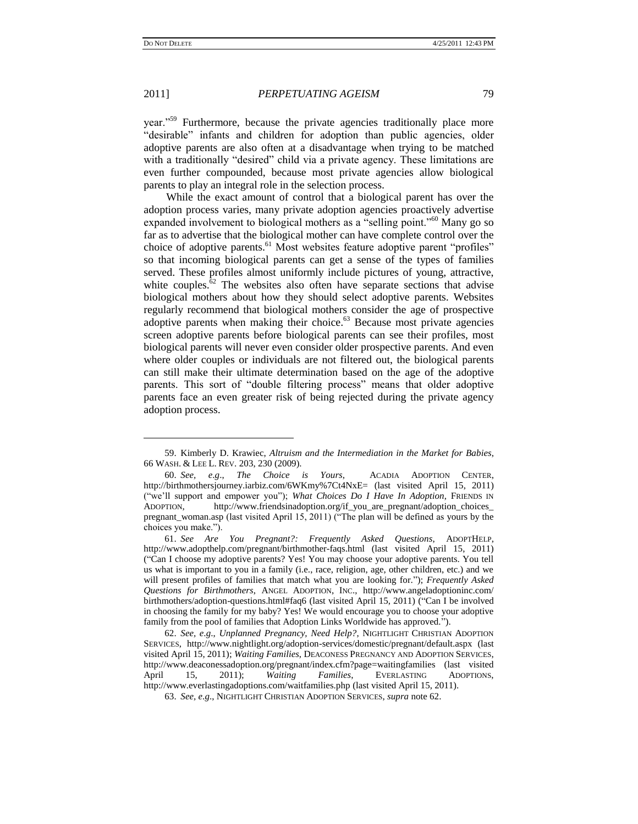2011] *PERPETUATING AGEISM* 79

year."<sup>59</sup> Furthermore, because the private agencies traditionally place more "desirable" infants and children for adoption than public agencies, older adoptive parents are also often at a disadvantage when trying to be matched with a traditionally "desired" child via a private agency. These limitations are even further compounded, because most private agencies allow biological parents to play an integral role in the selection process.

While the exact amount of control that a biological parent has over the adoption process varies, many private adoption agencies proactively advertise expanded involvement to biological mothers as a "selling point."<sup>60</sup> Many go so far as to advertise that the biological mother can have complete control over the choice of adoptive parents.<sup>61</sup> Most websites feature adoptive parent "profiles" so that incoming biological parents can get a sense of the types of families served. These profiles almost uniformly include pictures of young, attractive, white couples.<sup>62</sup> The websites also often have separate sections that advise biological mothers about how they should select adoptive parents. Websites regularly recommend that biological mothers consider the age of prospective adoptive parents when making their choice. $63$  Because most private agencies screen adoptive parents before biological parents can see their profiles, most biological parents will never even consider older prospective parents. And even where older couples or individuals are not filtered out, the biological parents can still make their ultimate determination based on the age of the adoptive parents. This sort of "double filtering process" means that older adoptive parents face an even greater risk of being rejected during the private agency adoption process.

<sup>59.</sup> Kimberly D. Krawiec, *Altruism and the Intermediation in the Market for Babies*, 66 WASH. & LEE L. REV. 203, 230 (2009).

<sup>60.</sup> *See, e*.*g*., *The Choice is Yours*, ACADIA ADOPTION CENTER, <http://birthmothersjourney.iarbiz.com/6WKmy%7Ct4NxE=> (last visited April 15, 2011) (―we'll support and empower you‖); *What Choices Do I Have In Adoption*, FRIENDS IN ADOPTION, http://www.friendsinadoption.org/if\_you\_are\_pregnant/adoption\_choices\_ pregnant\_woman.asp (last visited April 15, 2011) ("The plan will be defined as yours by the choices you make.").

<sup>61.</sup> *See Are You Pregnant?: Frequently Asked Questions*, ADOPTHELP, <http://www.adopthelp.com/pregnant/birthmother-faqs.html> (last visited April 15, 2011) (―Can I choose my adoptive parents? Yes! You may choose your adoptive parents. You tell us what is important to you in a family (i.e., race, religion, age, other children, etc.) and we will present profiles of families that match what you are looking for."); *Frequently Asked Questions for Birthmothers*, ANGEL ADOPTION, INC., http://www.angeladoptioninc.com/ birthmothers/adoption-questions.html#faq6 (last visited April 15, 2011) ("Can I be involved in choosing the family for my baby? Yes! We would encourage you to choose your adoptive family from the pool of families that Adoption Links Worldwide has approved.").

<sup>62.</sup> *See, e*.*g*., *Unplanned Pregnancy, Need Help?*, NIGHTLIGHT CHRISTIAN ADOPTION SERVICES, <http://www.nightlight.org/adoption-services/domestic/pregnant/default.aspx> (last visited April 15, 2011); *Waiting Families*, DEACONESS PREGNANCY AND ADOPTION SERVICES, <http://www.deaconessadoption.org/pregnant/index.cfm?page=waitingfamilies> (last visited April 15, 2011); *Waiting Families*, EVERLASTING ADOPTIONS, <http://www.everlastingadoptions.com/waitfamilies.php> (last visited April 15, 2011).

<sup>63.</sup> *See, e*.*g*., NIGHTLIGHT CHRISTIAN ADOPTION SERVICES, *supra* note 62.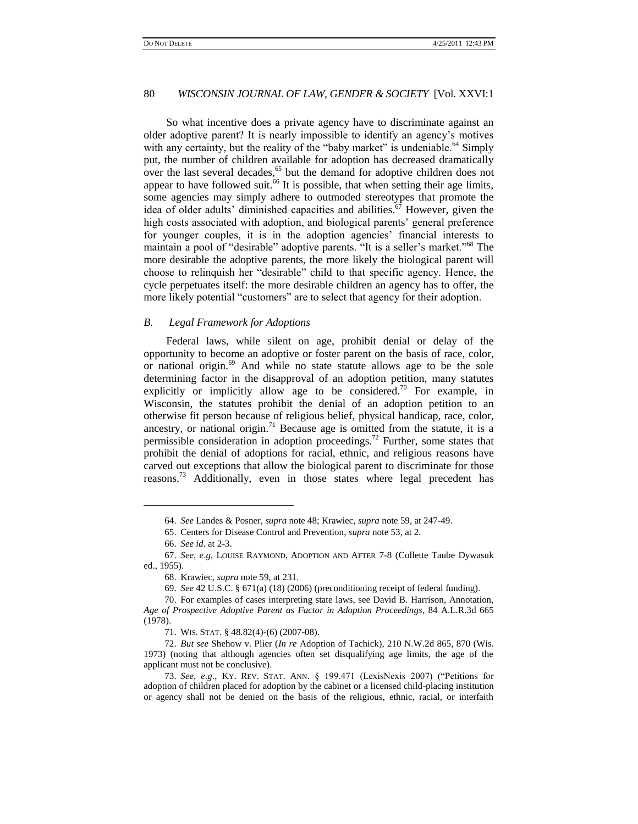So what incentive does a private agency have to discriminate against an older adoptive parent? It is nearly impossible to identify an agency's motives with any certainty, but the reality of the "baby market" is undeniable.<sup>64</sup> Simply put, the number of children available for adoption has decreased dramatically over the last several decades, $65$  but the demand for adoptive children does not appear to have followed suit.<sup>66</sup> It is possible, that when setting their age limits, some agencies may simply adhere to outmoded stereotypes that promote the idea of older adults' diminished capacities and abilities.<sup>67</sup> However, given the high costs associated with adoption, and biological parents' general preference for younger couples, it is in the adoption agencies' financial interests to maintain a pool of "desirable" adoptive parents. "It is a seller's market."<sup>68</sup> The more desirable the adoptive parents, the more likely the biological parent will choose to relinquish her "desirable" child to that specific agency. Hence, the cycle perpetuates itself: the more desirable children an agency has to offer, the more likely potential "customers" are to select that agency for their adoption.

#### *B. Legal Framework for Adoptions*

Federal laws, while silent on age, prohibit denial or delay of the opportunity to become an adoptive or foster parent on the basis of race, color, or national origin.<sup>69</sup> And while no state statute allows age to be the sole determining factor in the disapproval of an adoption petition, many statutes explicitly or implicitly allow age to be considered.<sup>70</sup> For example, in Wisconsin, the statutes prohibit the denial of an adoption petition to an otherwise fit person because of religious belief, physical handicap, race, color, ancestry, or national origin.<sup>71</sup> Because age is omitted from the statute, it is a permissible consideration in adoption proceedings.<sup>72</sup> Further, some states that prohibit the denial of adoptions for racial, ethnic, and religious reasons have carved out exceptions that allow the biological parent to discriminate for those reasons.<sup>73</sup> Additionally, even in those states where legal precedent has

<sup>64.</sup> *See* Landes & Posner, *supra* note 48; Krawiec, *supra* note 59, at 247-49.

<sup>65.</sup> Centers for Disease Control and Prevention, *supra* note 53, at 2.

<sup>66.</sup> *See id*. at 2-3.

<sup>67.</sup> *See, e*.*g*, LOUISE RAYMOND, ADOPTION AND AFTER 7-8 (Collette Taube Dywasuk ed., 1955).

<sup>68.</sup> Krawiec, *supra* note 59, at 231.

<sup>69.</sup> *See* 42 U.S.C. § 671(a) (18) (2006) (preconditioning receipt of federal funding).

<sup>70.</sup> For examples of cases interpreting state laws, see David B. Harrison, Annotation, *Age of Prospective Adoptive Parent as Factor in Adoption Proceedings*, 84 A.L.R.3d 665 (1978).

<sup>71.</sup> WIS. STAT. § 48.82(4)-(6) (2007-08).

<sup>72.</sup> *But see* Shehow v. Plier (*In re* Adoption of Tachick), 210 N.W.2d 865, 870 (Wis. 1973) (noting that although agencies often set disqualifying age limits, the age of the applicant must not be conclusive).

<sup>73.</sup> *See, e.g.*, Ky. REV. STAT. ANN. § 199.471 (LexisNexis 2007) ("Petitions for adoption of children placed for adoption by the cabinet or a licensed child-placing institution or agency shall not be denied on the basis of the religious, ethnic, racial, or interfaith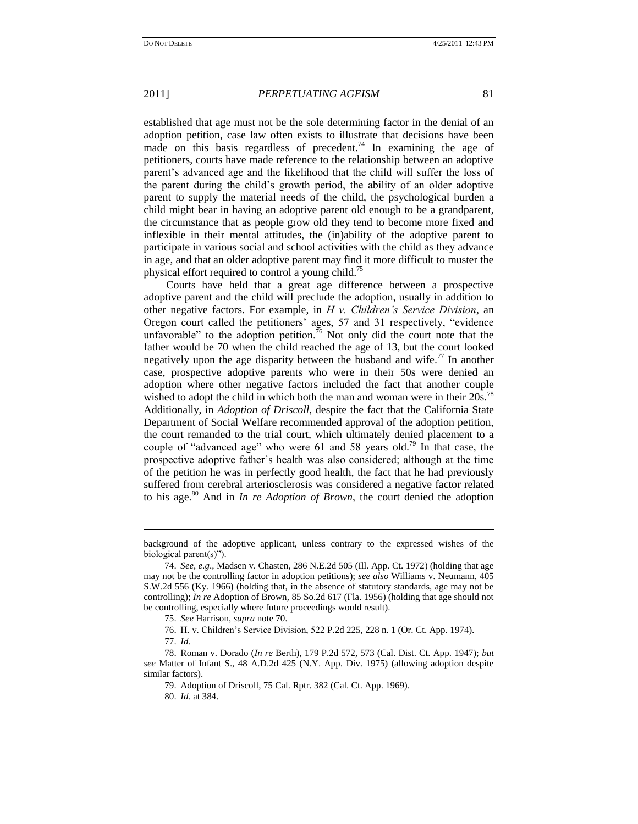established that age must not be the sole determining factor in the denial of an adoption petition, case law often exists to illustrate that decisions have been made on this basis regardless of precedent.<sup>74</sup> In examining the age of petitioners, courts have made reference to the relationship between an adoptive parent's advanced age and the likelihood that the child will suffer the loss of the parent during the child's growth period, the ability of an older adoptive parent to supply the material needs of the child, the psychological burden a child might bear in having an adoptive parent old enough to be a grandparent, the circumstance that as people grow old they tend to become more fixed and inflexible in their mental attitudes, the (in)ability of the adoptive parent to participate in various social and school activities with the child as they advance in age, and that an older adoptive parent may find it more difficult to muster the physical effort required to control a young child.<sup>15</sup>

Courts have held that a great age difference between a prospective adoptive parent and the child will preclude the adoption, usually in addition to other negative factors. For example, in *H v. Children's Service Division*, an Oregon court called the petitioners' ages, 57 and 31 respectively, "evidence" unfavorable" to the adoption petition.<sup>76</sup> Not only did the court note that the father would be 70 when the child reached the age of 13, but the court looked negatively upon the age disparity between the husband and wife.<sup>77</sup> In another case, prospective adoptive parents who were in their 50s were denied an adoption where other negative factors included the fact that another couple wished to adopt the child in which both the man and woman were in their 20s.<sup>88</sup> Additionally, in *Adoption of Driscoll*, despite the fact that the California State Department of Social Welfare recommended approval of the adoption petition, the court remanded to the trial court, which ultimately denied placement to a couple of "advanced age" who were 61 and 58 years old.<sup>79</sup> In that case, the prospective adoptive father's health was also considered; although at the time of the petition he was in perfectly good health, the fact that he had previously suffered from cerebral arteriosclerosis was considered a negative factor related to his age.<sup>80</sup> And in *In re Adoption of Brown*, the court denied the adoption

background of the adoptive applicant, unless contrary to the expressed wishes of the biological parent $(s)$ ").

<sup>74.</sup> *See, e*.*g*.*,* Madsen v. Chasten, 286 N.E.2d 505 (Ill. App. Ct. 1972) (holding that age may not be the controlling factor in adoption petitions); *see also* Williams v. Neumann, 405 S.W.2d 556 (Ky. 1966) (holding that, in the absence of statutory standards, age may not be controlling); *In re* Adoption of Brown*,* 85 So.2d 617 (Fla. 1956) (holding that age should not be controlling, especially where future proceedings would result).

<sup>75.</sup> *See* Harrison, *supra* note 70.

<sup>76.</sup> H. v. Children's Service Division, 522 P.2d 225, 228 n. 1 (Or. Ct. App. 1974).

<sup>77.</sup> *Id*.

<sup>78.</sup> Roman v. Dorado (*In re* Berth), 179 P.2d 572, 573 (Cal. Dist. Ct. App. 1947); *but see* Matter of Infant S., 48 A.D.2d 425 (N.Y. App. Div. 1975) (allowing adoption despite similar factors).

<sup>79.</sup> Adoption of Driscoll, 75 Cal. Rptr. 382 (Cal. Ct. App. 1969).

<sup>80.</sup> *Id*. at 384.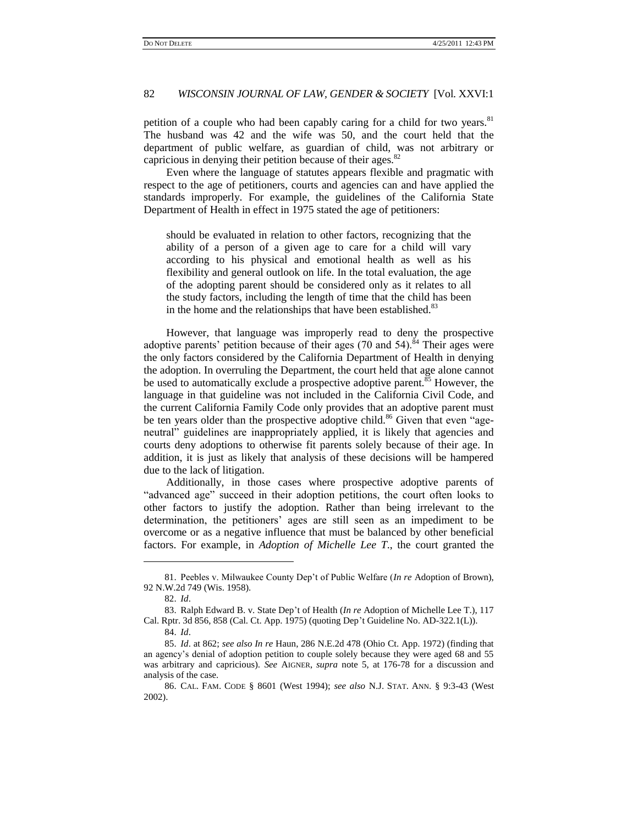petition of a couple who had been capably caring for a child for two years.<sup>81</sup> The husband was 42 and the wife was 50, and the court held that the department of public welfare, as guardian of child, was not arbitrary or capricious in denying their petition because of their ages.<sup>82</sup>

Even where the language of statutes appears flexible and pragmatic with respect to the age of petitioners, courts and agencies can and have applied the standards improperly. For example, the guidelines of the California State Department of Health in effect in 1975 stated the age of petitioners:

should be evaluated in relation to other factors, recognizing that the ability of a person of a given age to care for a child will vary according to his physical and emotional health as well as his flexibility and general outlook on life. In the total evaluation, the age of the adopting parent should be considered only as it relates to all the study factors, including the length of time that the child has been in the home and the relationships that have been established.<sup>83</sup>

However, that language was improperly read to deny the prospective adoptive parents' petition because of their ages  $(70 \text{ and } 54)$ .<sup>84</sup> Their ages were the only factors considered by the California Department of Health in denying the adoption. In overruling the Department, the court held that age alone cannot be used to automatically exclude a prospective adoptive parent.<sup>85</sup> However, the language in that guideline was not included in the California Civil Code, and the current California Family Code only provides that an adoptive parent must be ten years older than the prospective adoptive child.<sup>86</sup> Given that even "ageneutral" guidelines are inappropriately applied, it is likely that agencies and courts deny adoptions to otherwise fit parents solely because of their age. In addition, it is just as likely that analysis of these decisions will be hampered due to the lack of litigation.

Additionally, in those cases where prospective adoptive parents of "advanced age" succeed in their adoption petitions, the court often looks to other factors to justify the adoption. Rather than being irrelevant to the determination, the petitioners' ages are still seen as an impediment to be overcome or as a negative influence that must be balanced by other beneficial factors. For example, in *Adoption of Michelle Lee T*., the court granted the

<sup>81.</sup> Peebles v. Milwaukee County Dep't of Public Welfare (*In re* Adoption of Brown), 92 N.W.2d 749 (Wis. 1958).

<sup>82.</sup> *Id*.

<sup>83.</sup> Ralph Edward B. v. State Dep't of Health (*In re* Adoption of Michelle Lee T.), 117 Cal. Rptr. 3d 856, 858 (Cal. Ct. App. 1975) (quoting Dep't Guideline No. AD-322.1(L)).

<sup>84.</sup> *Id*.

<sup>85.</sup> *Id*. at 862; *see also In re* Haun, 286 N.E.2d 478 (Ohio Ct. App. 1972) (finding that an agency's denial of adoption petition to couple solely because they were aged 68 and 55 was arbitrary and capricious). *See* AIGNER, *supra* note 5, at 176-78 for a discussion and analysis of the case.

<sup>86.</sup> CAL. FAM. CODE § 8601 (West 1994); *see also* N.J. STAT. ANN. § 9:3-43 (West 2002).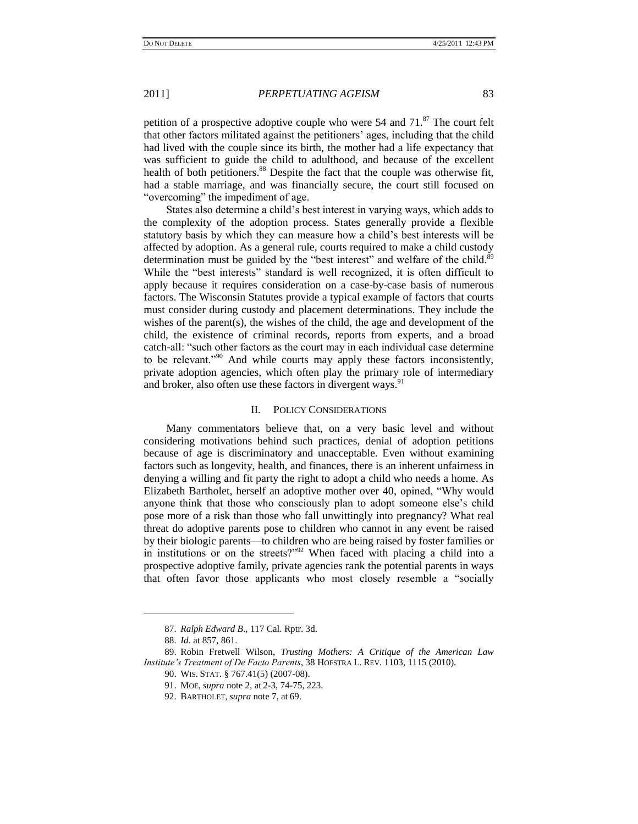petition of a prospective adoptive couple who were 54 and  $71.87$  The court felt that other factors militated against the petitioners' ages, including that the child had lived with the couple since its birth, the mother had a life expectancy that was sufficient to guide the child to adulthood, and because of the excellent health of both petitioners.<sup>88</sup> Despite the fact that the couple was otherwise fit, had a stable marriage, and was financially secure, the court still focused on "overcoming" the impediment of age.

States also determine a child's best interest in varying ways, which adds to the complexity of the adoption process. States generally provide a flexible statutory basis by which they can measure how a child's best interests will be affected by adoption. As a general rule, courts required to make a child custody determination must be guided by the "best interest" and welfare of the child.<sup>89</sup> While the "best interests" standard is well recognized, it is often difficult to apply because it requires consideration on a case-by-case basis of numerous factors. The Wisconsin Statutes provide a typical example of factors that courts must consider during custody and placement determinations. They include the wishes of the parent(s), the wishes of the child, the age and development of the child, the existence of criminal records, reports from experts, and a broad catch-all: "such other factors as the court may in each individual case determine to be relevant."<sup>90</sup> And while courts may apply these factors inconsistently, private adoption agencies, which often play the primary role of intermediary and broker, also often use these factors in divergent ways.<sup>91</sup>

#### II. POLICY CONSIDERATIONS

Many commentators believe that, on a very basic level and without considering motivations behind such practices, denial of adoption petitions because of age is discriminatory and unacceptable. Even without examining factors such as longevity, health, and finances, there is an inherent unfairness in denying a willing and fit party the right to adopt a child who needs a home. As Elizabeth Bartholet, herself an adoptive mother over 40, opined, "Why would anyone think that those who consciously plan to adopt someone else's child pose more of a risk than those who fall unwittingly into pregnancy? What real threat do adoptive parents pose to children who cannot in any event be raised by their biologic parents—to children who are being raised by foster families or in institutions or on the streets?"<sup>92</sup> When faced with placing a child into a prospective adoptive family, private agencies rank the potential parents in ways that often favor those applicants who most closely resemble a "socially

<sup>87.</sup> *Ralph Edward B*.*,* 117 Cal. Rptr. 3d.

<sup>88.</sup> *Id*. at 857, 861.

<sup>89.</sup> Robin Fretwell Wilson, *Trusting Mothers: A Critique of the American Law Institute's Treatment of De Facto Parents*, 38 HOFSTRA L. REV. 1103, 1115 (2010).

<sup>90.</sup> WIS. STAT. § 767.41(5) (2007-08).

<sup>91.</sup> MOE, *supra* note 2, at 2-3, 74-75, 223.

<sup>92.</sup> BARTHOLET, *supra* note 7, at 69.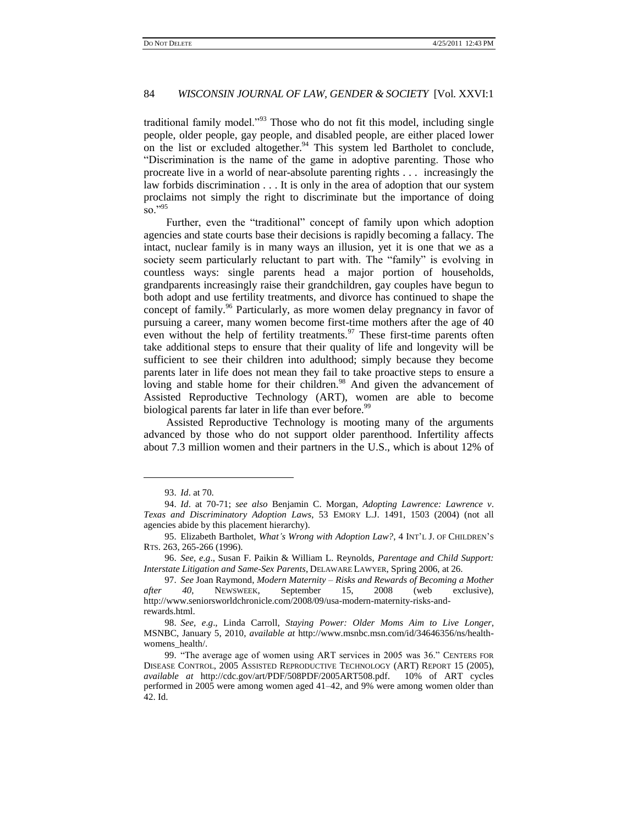traditional family model.<sup>993</sup> Those who do not fit this model, including single people, older people, gay people, and disabled people, are either placed lower on the list or excluded altogether.<sup>94</sup> This system led Bartholet to conclude, ―Discrimination is the name of the game in adoptive parenting. Those who procreate live in a world of near-absolute parenting rights . . . increasingly the law forbids discrimination . . . It is only in the area of adoption that our system proclaims not simply the right to discriminate but the importance of doing so."<sup>95</sup>

Further, even the "traditional" concept of family upon which adoption agencies and state courts base their decisions is rapidly becoming a fallacy. The intact, nuclear family is in many ways an illusion, yet it is one that we as a society seem particularly reluctant to part with. The "family" is evolving in countless ways: single parents head a major portion of households, grandparents increasingly raise their grandchildren, gay couples have begun to both adopt and use fertility treatments, and divorce has continued to shape the concept of family.<sup>96</sup> Particularly, as more women delay pregnancy in favor of pursuing a career, many women become first-time mothers after the age of 40 even without the help of fertility treatments.<sup>97</sup> These first-time parents often take additional steps to ensure that their quality of life and longevity will be sufficient to see their children into adulthood; simply because they become parents later in life does not mean they fail to take proactive steps to ensure a loving and stable home for their children.<sup>98</sup> And given the advancement of Assisted Reproductive Technology (ART), women are able to become biological parents far later in life than ever before.<sup>99</sup>

Assisted Reproductive Technology is mooting many of the arguments advanced by those who do not support older parenthood. Infertility affects about 7.3 million women and their partners in the U.S., which is about 12% of

<sup>93.</sup> *Id*. at 70.

<sup>94.</sup> *Id*. at 70-71; *see also* Benjamin C. Morgan, *Adopting Lawrence: Lawrence v*. *Texas and Discriminatory Adoption Laws*, 53 EMORY L.J. 1491, 1503 (2004) (not all agencies abide by this placement hierarchy).

<sup>95.</sup> Elizabeth Bartholet, *What's Wrong with Adoption Law?*, 4 INT'L J. OF CHILDREN'S RTS. 263, 265-266 (1996).

<sup>96.</sup> *See, e*.*g*., Susan F. Paikin & William L. Reynolds, *Parentage and Child Support: Interstate Litigation and Same-Sex Parents*, DELAWARE LAWYER, Spring 2006, at 26.

<sup>97.</sup> *See* Joan Raymond, *Modern Maternity – Risks and Rewards of Becoming a Mother after 40*, NEWSWEEK, September 15, 2008 (web exclusive), [http://www.seniorsworldchronicle.com/2008/09/usa-modern-maternity-risks-and](http://www.seniorsworldchronicle.com/2008/09/usa-modern-maternity-risks-and-rewards.html)[rewards.html.](http://www.seniorsworldchronicle.com/2008/09/usa-modern-maternity-risks-and-rewards.html)

<sup>98.</sup> *See, e*.*g*.*,* Linda Carroll, *Staying Power: Older Moms Aim to Live Longer*, MSNBC, January 5, 2010, *available at* [http://www.msnbc.msn.com/id/34646356/ns/health](http://www.msnbc.msn.com/id/34646356/ns/health-womens_health/)[womens\\_health/.](http://www.msnbc.msn.com/id/34646356/ns/health-womens_health/)

<sup>99. &</sup>quot;The average age of women using ART services in 2005 was 36." CENTERS FOR DISEASE CONTROL, 2005 ASSISTED REPRODUCTIVE TECHNOLOGY (ART) REPORT 15 (2005), *available at* [http://cdc.gov/art/PDF/508PDF/2005ART508.pdf.](http://cdc.gov/art/PDF/508PDF/2005ART508.pdf) 10% of ART cycles performed in 2005 were among women aged 41–42, and 9% were among women older than 42. Id.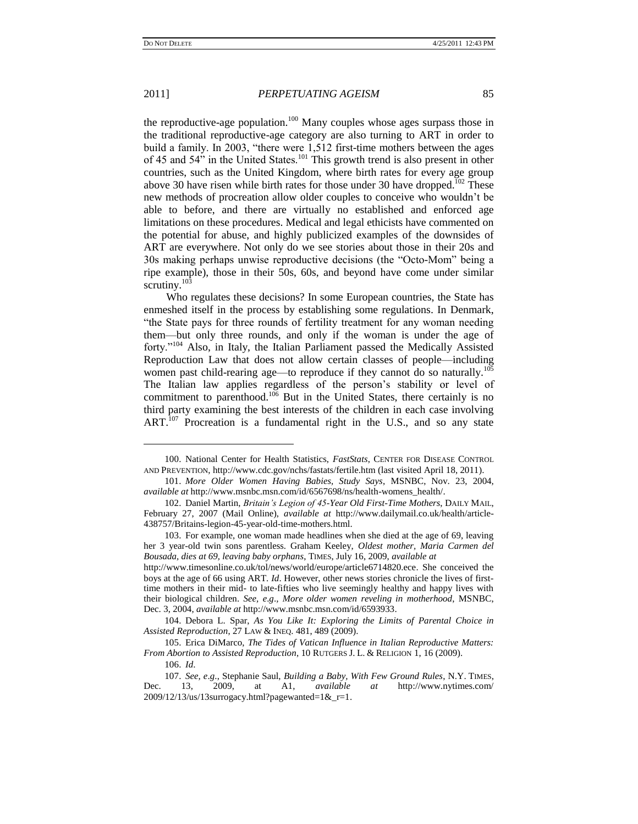the reproductive-age population.<sup>100</sup> Many couples whose ages surpass those in the traditional reproductive-age category are also turning to ART in order to build a family. In 2003, "there were  $1,512$  first-time mothers between the ages of 45 and 54" in the United States.<sup>101</sup> This growth trend is also present in other countries, such as the United Kingdom, where birth rates for every age group above 30 have risen while birth rates for those under 30 have dropped.<sup>102</sup> These new methods of procreation allow older couples to conceive who wouldn't be able to before, and there are virtually no established and enforced age limitations on these procedures. Medical and legal ethicists have commented on the potential for abuse, and highly publicized examples of the downsides of ART are everywhere. Not only do we see stories about those in their 20s and 30s making perhaps unwise reproductive decisions (the "Octo-Mom" being a ripe example), those in their 50s, 60s, and beyond have come under similar scrutiny.<sup>103</sup>

Who regulates these decisions? In some European countries, the State has enmeshed itself in the process by establishing some regulations. In Denmark, "the State pays for three rounds of fertility treatment for any woman needing them—but only three rounds, and only if the woman is under the age of forty."<sup>104</sup> Also, in Italy, the Italian Parliament passed the Medically Assisted Reproduction Law that does not allow certain classes of people—including women past child-rearing age—to reproduce if they cannot do so naturally.<sup>105</sup> The Italian law applies regardless of the person's stability or level of commitment to parenthood.<sup>106</sup> But in the United States, there certainly is no third party examining the best interests of the children in each case involving  $ART.^{107}$  Procreation is a fundamental right in the U.S., and so any state

<sup>100.</sup> National Center for Health Statistics, *FastStats*, CENTER FOR DISEASE CONTROL AND PREVENTION[, http://www.cdc.gov/nchs/fastats/fertile.htm](http://www.cdc.gov/nchs/fastats/fertile.htm) (last visited April 18, 2011).

<sup>101.</sup> *More Older Women Having Babies, Study Says*, MSNBC, Nov. 23, 2004, *available at* [http://www.msnbc.msn.com/id/6567698/ns/health-womens\\_health/.](http://www.msnbc.msn.com/id/6567698/ns/health-womens_health/)

<sup>102.</sup> Daniel Martin, *Britain's Legion of 45-Year Old First-Time Mothers*, DAILY MAIL, February 27, 2007 (Mail Online), *available at* [http://www.dailymail.co.uk/health/article-](http://www.dailymail.co.uk/health/article-438757/Britains-legion-45-year-old-time-mothers.html)[438757/Britains-legion-45-year-old-time-mothers.html.](http://www.dailymail.co.uk/health/article-438757/Britains-legion-45-year-old-time-mothers.html)

<sup>103.</sup> For example, one woman made headlines when she died at the age of 69, leaving her 3 year-old twin sons parentless. Graham Keeley, *Oldest mother, Maria Carmen del Bousada, dies at 69, leaving baby orphans*, TIMES, July 16, 2009, *available at*

[http://www.timesonline.co.uk/tol/news/world/europe/article6714820.ece.](http://www.timesonline.co.uk/tol/news/world/europe/article6714820.ece) She conceived the boys at the age of 66 using ART. *Id*. However, other news stories chronicle the lives of firsttime mothers in their mid- to late-fifties who live seemingly healthy and happy lives with their biological children. *See, e*.*g*.*, More older women reveling in motherhood*, MSNBC, Dec. 3, 2004, *available at* [http://www.msnbc.msn.com/id/6593933.](http://www.msnbc.msn.com/id/6593933)

<sup>104.</sup> Debora L. Spar, *As You Like It: Exploring the Limits of Parental Choice in Assisted Reproduction*, 27 LAW & INEQ. 481, 489 (2009).

<sup>105.</sup> Erica DiMarco, *The Tides of Vatican Influence in Italian Reproductive Matters: From Abortion to Assisted Reproduction*, 10 RUTGERS J. L. & RELIGION 1, 16 (2009).

<sup>106.</sup> *Id*.

<sup>107.</sup> *See, e*.*g*., Stephanie Saul, *Building a Baby, With Few Ground Rules*, N.Y. TIMES, Dec. 13, 2009, at A1, *available at* http://www.nytimes.com/ 2009/12/13/us/13surrogacy.html?pagewanted=1&\_r=1.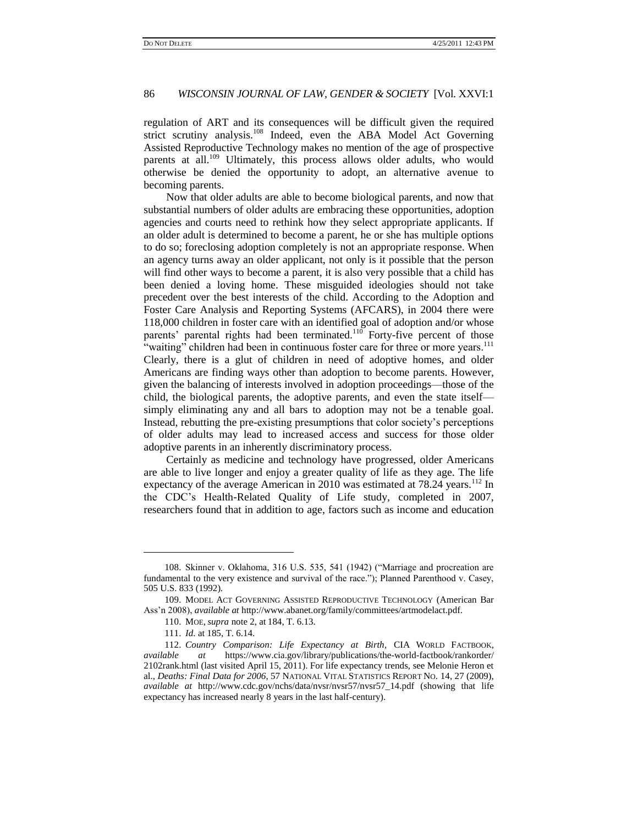regulation of ART and its consequences will be difficult given the required strict scrutiny analysis.<sup>108</sup> Indeed, even the ABA Model Act Governing Assisted Reproductive Technology makes no mention of the age of prospective parents at all.<sup>109</sup> Ultimately, this process allows older adults, who would otherwise be denied the opportunity to adopt, an alternative avenue to becoming parents.

Now that older adults are able to become biological parents, and now that substantial numbers of older adults are embracing these opportunities, adoption agencies and courts need to rethink how they select appropriate applicants. If an older adult is determined to become a parent, he or she has multiple options to do so; foreclosing adoption completely is not an appropriate response. When an agency turns away an older applicant, not only is it possible that the person will find other ways to become a parent, it is also very possible that a child has been denied a loving home. These misguided ideologies should not take precedent over the best interests of the child. According to the Adoption and Foster Care Analysis and Reporting Systems (AFCARS), in 2004 there were 118,000 children in foster care with an identified goal of adoption and/or whose parents' parental rights had been terminated.<sup>110</sup> Forty-five percent of those "waiting" children had been in continuous foster care for three or more years.<sup>111</sup> Clearly, there is a glut of children in need of adoptive homes, and older Americans are finding ways other than adoption to become parents. However, given the balancing of interests involved in adoption proceedings—those of the child, the biological parents, the adoptive parents, and even the state itself simply eliminating any and all bars to adoption may not be a tenable goal. Instead, rebutting the pre-existing presumptions that color society's perceptions of older adults may lead to increased access and success for those older adoptive parents in an inherently discriminatory process.

Certainly as medicine and technology have progressed, older Americans are able to live longer and enjoy a greater quality of life as they age. The life expectancy of the average American in 2010 was estimated at 78.24 years.<sup>112</sup> In the CDC's Health-Related Quality of Life study, completed in 2007, researchers found that in addition to age, factors such as income and education

<sup>108.</sup> Skinner v. Oklahoma, 316 U.S. 535, 541 (1942) ("Marriage and procreation are fundamental to the very existence and survival of the race."); Planned Parenthood v. Casey, 505 U.S. 833 (1992).

<sup>109.</sup> MODEL ACT GOVERNING ASSISTED REPRODUCTIVE TECHNOLOGY (American Bar Ass'n 2008), *available at* [http://www.abanet.org/family/committees/artmodelact.pdf.](http://www.abanet.org/family/committees/artmodelact.pdf)

<sup>110.</sup> MOE, *supra* note 2, at 184, T. 6.13.

<sup>111.</sup> *Id*. at 185, T. 6.14.

<sup>112.</sup> *Country Comparison: Life Expectancy at Birth*, CIA WORLD FACTBOOK, *available at* https://www.cia.gov/library/publications/the-world-factbook/rankorder/ 2102rank.html (last visited April 15, 2011). For life expectancy trends, see Melonie Heron et al., *Deaths: Final Data for 2006*, 57 NATIONAL VITAL STATISTICS REPORT NO. 14, 27 (2009), *available at* [http://www.cdc.gov/nchs/data/nvsr/nvsr57/nvsr57\\_14.pdf](http://www.cdc.gov/nchs/data/nvsr/nvsr57/nvsr57_14.pdf) (showing that life expectancy has increased nearly 8 years in the last half-century).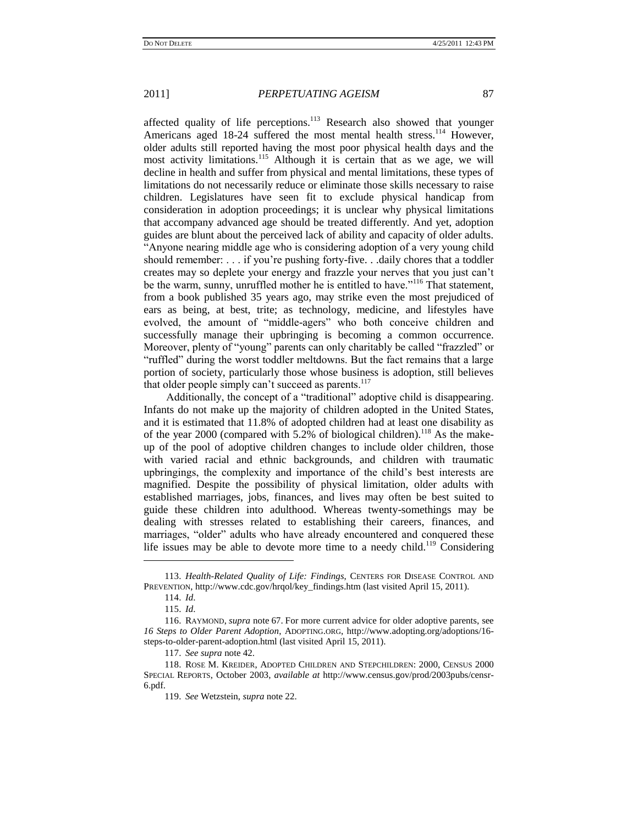affected quality of life perceptions.<sup>113</sup> Research also showed that younger Americans aged 18-24 suffered the most mental health stress.<sup>114</sup> However, older adults still reported having the most poor physical health days and the most activity limitations.<sup>115</sup> Although it is certain that as we age, we will decline in health and suffer from physical and mental limitations, these types of limitations do not necessarily reduce or eliminate those skills necessary to raise children. Legislatures have seen fit to exclude physical handicap from consideration in adoption proceedings; it is unclear why physical limitations that accompany advanced age should be treated differently. And yet, adoption guides are blunt about the perceived lack of ability and capacity of older adults. ―Anyone nearing middle age who is considering adoption of a very young child should remember: . . . if you're pushing forty-five. . .daily chores that a toddler creates may so deplete your energy and frazzle your nerves that you just can't be the warm, sunny, unruffled mother he is entitled to have."<sup>116</sup> That statement, from a book published 35 years ago, may strike even the most prejudiced of ears as being, at best, trite; as technology, medicine, and lifestyles have evolved, the amount of "middle-agers" who both conceive children and successfully manage their upbringing is becoming a common occurrence. Moreover, plenty of "young" parents can only charitably be called "frazzled" or "ruffled" during the worst toddler meltdowns. But the fact remains that a large portion of society, particularly those whose business is adoption, still believes that older people simply can't succeed as parents. $117$ 

Additionally, the concept of a "traditional" adoptive child is disappearing. Infants do not make up the majority of children adopted in the United States, and it is estimated that 11.8% of adopted children had at least one disability as of the year 2000 (compared with  $5.2\%$  of biological children).<sup>118</sup> As the makeup of the pool of adoptive children changes to include older children, those with varied racial and ethnic backgrounds, and children with traumatic upbringings, the complexity and importance of the child's best interests are magnified. Despite the possibility of physical limitation, older adults with established marriages, jobs, finances, and lives may often be best suited to guide these children into adulthood. Whereas twenty-somethings may be dealing with stresses related to establishing their careers, finances, and marriages, "older" adults who have already encountered and conquered these life issues may be able to devote more time to a needy child.<sup>119</sup> Considering

<sup>113.</sup> *Health-Related Quality of Life: Findings*, CENTERS FOR DISEASE CONTROL AND PREVENTION, [http://www.cdc.gov/hrqol/key\\_findings.htm](http://www.cdc.gov/hrqol/key_findings.htm) (last visited April 15, 2011).

<sup>114.</sup> *Id*.

<sup>115.</sup> *Id*.

<sup>116.</sup> RAYMOND, *supra* note 67. For more current advice for older adoptive parents, see *16 Steps to Older Parent Adoption*, ADOPTING.ORG, [http://www.adopting.org/adoptions/16](http://www.adopting.org/adoptions/16-steps-to-older-parent-adoption.html) [steps-to-older-parent-adoption.html](http://www.adopting.org/adoptions/16-steps-to-older-parent-adoption.html) (last visited April 15, 2011).

<sup>117.</sup> *See supra* note 42.

<sup>118.</sup> ROSE M. KREIDER, ADOPTED CHILDREN AND STEPCHILDREN: 2000, CENSUS 2000 SPECIAL REPORTS, October 2003, *available at* [http://www.census.gov/prod/2003pubs/censr-](http://www.census.gov/prod/2003pubs/censr-6.pdf)[6.pdf.](http://www.census.gov/prod/2003pubs/censr-6.pdf)

<sup>119.</sup> *See* Wetzstein, *supra* note 22.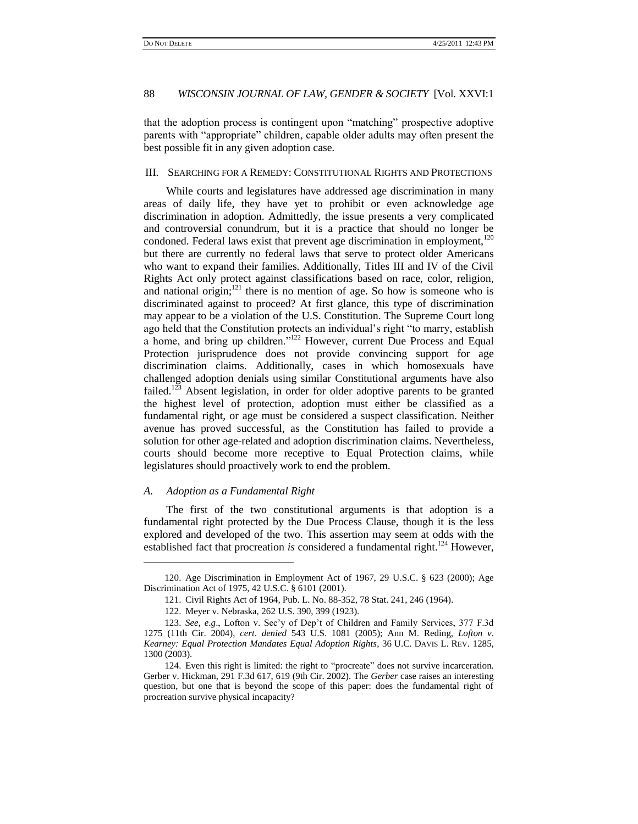that the adoption process is contingent upon "matching" prospective adoptive parents with "appropriate" children, capable older adults may often present the best possible fit in any given adoption case.

## III. SEARCHING FOR A REMEDY: CONSTITUTIONAL RIGHTS AND PROTECTIONS

While courts and legislatures have addressed age discrimination in many areas of daily life, they have yet to prohibit or even acknowledge age discrimination in adoption. Admittedly, the issue presents a very complicated and controversial conundrum, but it is a practice that should no longer be condoned. Federal laws exist that prevent age discrimination in employment, $120$ but there are currently no federal laws that serve to protect older Americans who want to expand their families. Additionally, Titles III and IV of the Civil Rights Act only protect against classifications based on race, color, religion, and national origin;<sup>121</sup> there is no mention of age. So how is someone who is discriminated against to proceed? At first glance, this type of discrimination may appear to be a violation of the U.S. Constitution. The Supreme Court long ago held that the Constitution protects an individual's right "to marry, establish a home, and bring up children." $122$  However, current Due Process and Equal Protection jurisprudence does not provide convincing support for age discrimination claims. Additionally, cases in which homosexuals have challenged adoption denials using similar Constitutional arguments have also failed.<sup>123</sup> Absent legislation, in order for older adoptive parents to be granted the highest level of protection, adoption must either be classified as a fundamental right, or age must be considered a suspect classification. Neither avenue has proved successful, as the Constitution has failed to provide a solution for other age-related and adoption discrimination claims. Nevertheless, courts should become more receptive to Equal Protection claims, while legislatures should proactively work to end the problem.

#### *A. Adoption as a Fundamental Right*

 $\overline{a}$ 

The first of the two constitutional arguments is that adoption is a fundamental right protected by the Due Process Clause, though it is the less explored and developed of the two. This assertion may seem at odds with the established fact that procreation *is* considered a fundamental right.<sup>124</sup> However,

<sup>120.</sup> Age Discrimination in Employment Act of 1967, 29 U.S.C. § 623 (2000); Age Discrimination Act of 1975, 42 U.S.C. § 6101 (2001).

<sup>121.</sup> Civil Rights Act of 1964, Pub. L. No. 88-352, 78 Stat. 241, 246 (1964).

<sup>122.</sup> Meyer v. Nebraska, 262 U.S. 390, 399 (1923).

<sup>123.</sup> *See, e*.*g*., Lofton v. Sec'y of Dep't of Children and Family Services, 377 F.3d 1275 (11th Cir. 2004), *cert*. *denied* 543 U.S. 1081 (2005); Ann M. Reding, *Lofton v*. *Kearney: Equal Protection Mandates Equal Adoption Rights*, 36 U.C. DAVIS L. REV. 1285, 1300 (2003).

<sup>124.</sup> Even this right is limited: the right to "procreate" does not survive incarceration. Gerber v. Hickman, 291 F.3d 617, 619 (9th Cir. 2002). The *Gerber* case raises an interesting question, but one that is beyond the scope of this paper: does the fundamental right of procreation survive physical incapacity?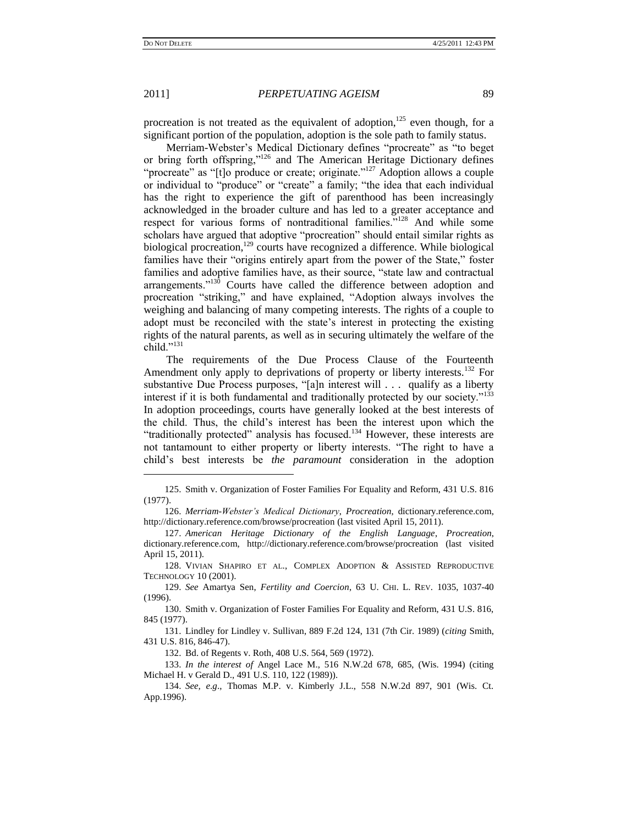$\overline{\phantom{a}}$ 

### 2011] *PERPETUATING AGEISM* 89

procreation is not treated as the equivalent of adoption,<sup>125</sup> even though, for a significant portion of the population, adoption is the sole path to family status.

Merriam-Webster's Medical Dictionary defines "procreate" as "to beget or bring forth offspring,"<sup>126</sup> and The American Heritage Dictionary defines "procreate" as "[t]o produce or create; originate."<sup>127</sup> Adoption allows a couple or individual to "produce" or "create" a family; "the idea that each individual has the right to experience the gift of parenthood has been increasingly acknowledged in the broader culture and has led to a greater acceptance and respect for various forms of nontraditional families.<sup>7128</sup> And while some scholars have argued that adoptive "procreation" should entail similar rights as biological procreation,<sup>129</sup> courts have recognized a difference. While biological families have their "origins entirely apart from the power of the State," foster families and adoptive families have, as their source, "state law and contractual arrangements."<sup>130</sup> Courts have called the difference between adoption and procreation "striking," and have explained, "Adoption always involves the weighing and balancing of many competing interests. The rights of a couple to adopt must be reconciled with the state's interest in protecting the existing rights of the natural parents, as well as in securing ultimately the welfare of the child."<sup>131</sup>

The requirements of the Due Process Clause of the Fourteenth Amendment only apply to deprivations of property or liberty interests.<sup>132</sup> For substantive Due Process purposes, "[a]n interest will . . . qualify as a liberty interest if it is both fundamental and traditionally protected by our society."<sup>133</sup> In adoption proceedings, courts have generally looked at the best interests of the child. Thus, the child's interest has been the interest upon which the "traditionally protected" analysis has focused.<sup>134</sup> However, these interests are not tantamount to either property or liberty interests. "The right to have a child's best interests be *the paramount* consideration in the adoption

132. Bd. of Regents v. Roth, 408 U.S. 564, 569 (1972).

<sup>125.</sup> Smith v. Organization of Foster Families For Equality and Reform, 431 U.S. 816 (1977).

<sup>126.</sup> *Merriam-Webster's Medical Dictionary*, *Procreation*, dictionary.reference.com, <http://dictionary.reference.com/browse/procreation> (last visited April 15, 2011).

<sup>127.</sup> *American Heritage Dictionary of the English Language*, *Procreation*, dictionary.reference.com, <http://dictionary.reference.com/browse/procreation> (last visited April 15, 2011).

<sup>128.</sup> VIVIAN SHAPIRO ET AL., COMPLEX ADOPTION & ASSISTED REPRODUCTIVE TECHNOLOGY 10 (2001).

<sup>129.</sup> *See* Amartya Sen, *Fertility and Coercion*, 63 U. CHI. L. REV. 1035, 1037-40 (1996).

<sup>130.</sup> Smith v. Organization of Foster Families For Equality and Reform, 431 U.S. 816, 845 (1977).

<sup>131.</sup> Lindley for Lindley v. Sullivan, 889 F.2d 124, 131 (7th Cir. 1989) (*citing* Smith, 431 U.S. 816, 846-47).

<sup>133.</sup> *In the interest of* Angel Lace M., 516 N.W.2d 678, 685, (Wis. 1994) (citing Michael H. v Gerald D., 491 U.S. 110, 122 (1989)).

<sup>134.</sup> *See, e*.*g*., Thomas M.P. v. Kimberly J.L., 558 N.W.2d 897, 901 (Wis. Ct. App.1996).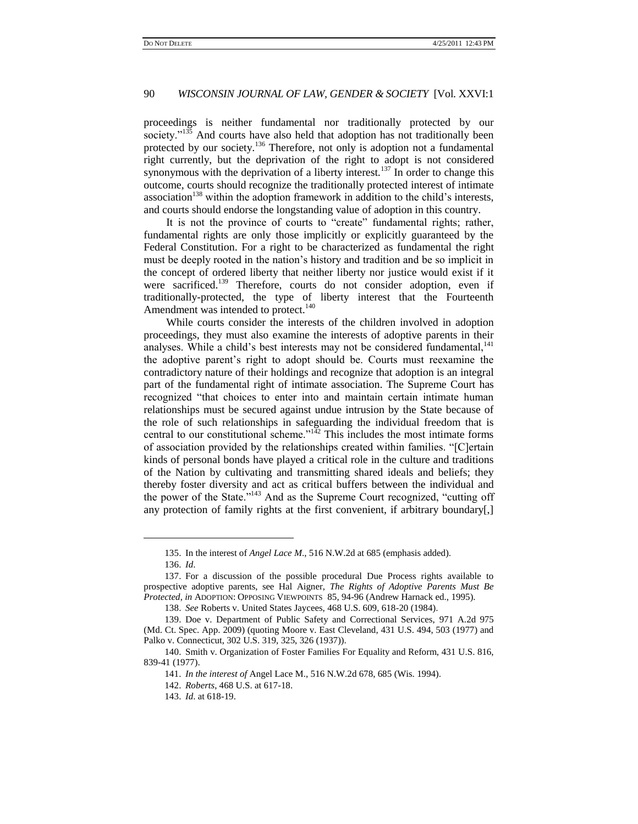proceedings is neither fundamental nor traditionally protected by our society."<sup>135</sup> And courts have also held that adoption has not traditionally been protected by our society.<sup>136</sup> Therefore, not only is adoption not a fundamental right currently, but the deprivation of the right to adopt is not considered synonymous with the deprivation of a liberty interest.<sup>137</sup> In order to change this outcome, courts should recognize the traditionally protected interest of intimate association<sup>138</sup> within the adoption framework in addition to the child's interests, and courts should endorse the longstanding value of adoption in this country.

It is not the province of courts to "create" fundamental rights; rather, fundamental rights are only those implicitly or explicitly guaranteed by the Federal Constitution. For a right to be characterized as fundamental the right must be deeply rooted in the nation's history and tradition and be so implicit in the concept of ordered liberty that neither liberty nor justice would exist if it were sacrificed.<sup>139</sup> Therefore, courts do not consider adoption, even if traditionally-protected, the type of liberty interest that the Fourteenth Amendment was intended to protect.<sup>140</sup>

While courts consider the interests of the children involved in adoption proceedings, they must also examine the interests of adoptive parents in their analyses. While a child's best interests may not be considered fundamental, $141$ the adoptive parent's right to adopt should be. Courts must reexamine the contradictory nature of their holdings and recognize that adoption is an integral part of the fundamental right of intimate association. The Supreme Court has recognized "that choices to enter into and maintain certain intimate human relationships must be secured against undue intrusion by the State because of the role of such relationships in safeguarding the individual freedom that is central to our constitutional scheme.<sup> $142$ </sup> This includes the most intimate forms of association provided by the relationships created within families. "[C]ertain kinds of personal bonds have played a critical role in the culture and traditions of the Nation by cultivating and transmitting shared ideals and beliefs; they thereby foster diversity and act as critical buffers between the individual and the power of the State." $143$  And as the Supreme Court recognized, "cutting off any protection of family rights at the first convenient, if arbitrary boundary[,]

<sup>135.</sup> In the interest of *Angel Lace M*., 516 N.W.2d at 685 (emphasis added).

<sup>136.</sup> *Id*.

<sup>137.</sup> For a discussion of the possible procedural Due Process rights available to prospective adoptive parents, see Hal Aigner, *The Rights of Adoptive Parents Must Be Protected*, *in* ADOPTION: OPPOSING VIEWPOINTS 85, 94-96 (Andrew Harnack ed., 1995).

<sup>138.</sup> *See* Roberts v. United States Jaycees, 468 U.S. 609, 618-20 (1984).

<sup>139.</sup> Doe v. Department of Public Safety and Correctional Services, 971 A.2d 975 (Md. Ct. Spec. App. 2009) (quoting Moore v. East Cleveland, 431 U.S. 494, 503 (1977) and Palko v. Connecticut, 302 U.S. 319, 325, 326 (1937)).

<sup>140.</sup> Smith v. Organization of Foster Families For Equality and Reform, 431 U.S. 816, 839-41 (1977).

<sup>141.</sup> *In the interest of* Angel Lace M., 516 N.W.2d 678, 685 (Wis. 1994).

<sup>142.</sup> *Roberts*, 468 U.S. at 617-18.

<sup>143.</sup> *Id*. at 618-19.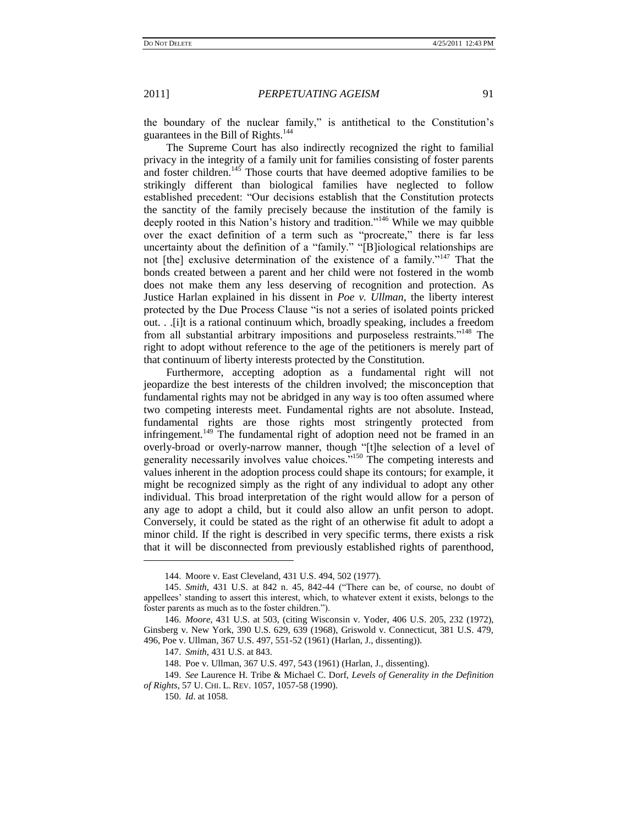the boundary of the nuclear family," is antithetical to the Constitution's guarantees in the Bill of Rights.<sup>144</sup>

The Supreme Court has also indirectly recognized the right to familial privacy in the integrity of a family unit for families consisting of foster parents and foster children.<sup>145</sup> Those courts that have deemed adoptive families to be strikingly different than biological families have neglected to follow established precedent: ―Our decisions establish that the Constitution protects the sanctity of the family precisely because the institution of the family is deeply rooted in this Nation's history and tradition."<sup>146</sup> While we may quibble over the exact definition of a term such as "procreate," there is far less uncertainty about the definition of a "family." "[B]iological relationships are not [the] exclusive determination of the existence of a family."<sup>147</sup> That the bonds created between a parent and her child were not fostered in the womb does not make them any less deserving of recognition and protection. As Justice Harlan explained in his dissent in *Poe v. Ullman*, the liberty interest protected by the Due Process Clause "is not a series of isolated points pricked out. . .[i]t is a rational continuum which, broadly speaking, includes a freedom from all substantial arbitrary impositions and purposeless restraints."<sup>148</sup> The right to adopt without reference to the age of the petitioners is merely part of that continuum of liberty interests protected by the Constitution.

Furthermore, accepting adoption as a fundamental right will not jeopardize the best interests of the children involved; the misconception that fundamental rights may not be abridged in any way is too often assumed where two competing interests meet. Fundamental rights are not absolute. Instead, fundamental rights are those rights most stringently protected from infringement.<sup>149</sup> The fundamental right of adoption need not be framed in an overly-broad or overly-narrow manner, though "[t]he selection of a level of generality necessarily involves value choices.<sup>5150</sup> The competing interests and values inherent in the adoption process could shape its contours; for example, it might be recognized simply as the right of any individual to adopt any other individual. This broad interpretation of the right would allow for a person of any age to adopt a child, but it could also allow an unfit person to adopt. Conversely, it could be stated as the right of an otherwise fit adult to adopt a minor child. If the right is described in very specific terms, there exists a risk that it will be disconnected from previously established rights of parenthood,

<sup>144.</sup> Moore v. East Cleveland, 431 U.S. 494, 502 (1977).

<sup>145.</sup> *Smith*, 431 U.S. at 842 n. 45, 842-44 ("There can be, of course, no doubt of appellees' standing to assert this interest, which, to whatever extent it exists, belongs to the foster parents as much as to the foster children.").

<sup>146.</sup> *Moore*, 431 U.S. at 503, (citing Wisconsin v. Yoder, 406 U.S. 205, 232 (1972), Ginsberg v. New York, 390 U.S. 629, 639 (1968), Griswold v. Connecticut, 381 U.S. 479, 496, Poe v. Ullman, 367 U.S. 497, 551-52 (1961) (Harlan, J., dissenting)).

<sup>147.</sup> *Smith*, 431 U.S. at 843.

<sup>148.</sup> Poe v. Ullman, 367 U.S. 497, 543 (1961) (Harlan, J., dissenting).

<sup>149.</sup> *See* Laurence H. Tribe & Michael C. Dorf, *Levels of Generality in the Definition of Rights*, 57 U. CHI. L. REV. 1057, 1057-58 (1990).

<sup>150.</sup> *Id*. at 1058.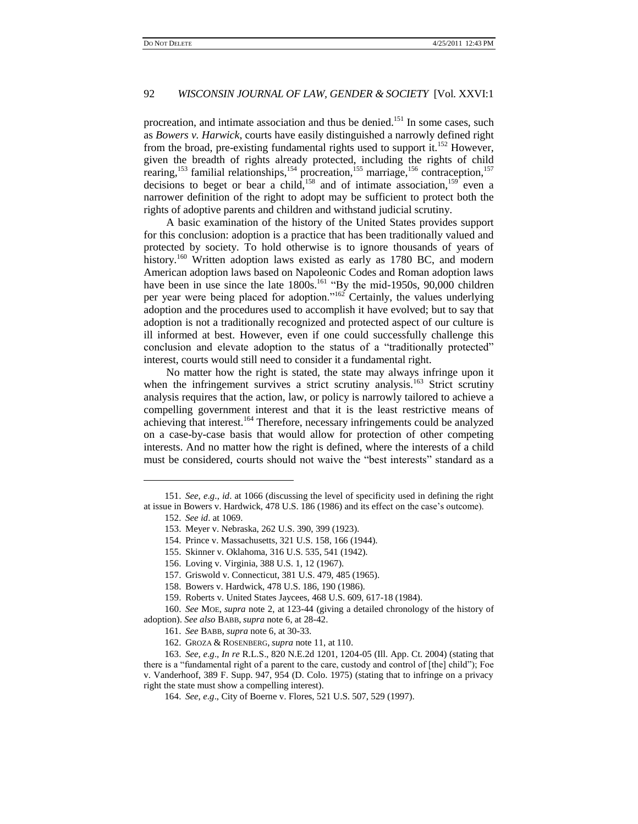procreation, and intimate association and thus be denied.<sup>151</sup> In some cases, such as *Bowers v. Harwick*, courts have easily distinguished a narrowly defined right from the broad, pre-existing fundamental rights used to support it.<sup>152</sup> However, given the breadth of rights already protected, including the rights of child rearing,<sup>153</sup> familial relationships,<sup>154</sup> procreation,<sup>155</sup> marriage,<sup>156</sup> contraception,<sup>157</sup> decisions to beget or bear a child,<sup>158</sup> and of intimate association,<sup>159</sup> even a narrower definition of the right to adopt may be sufficient to protect both the rights of adoptive parents and children and withstand judicial scrutiny.

A basic examination of the history of the United States provides support for this conclusion: adoption is a practice that has been traditionally valued and protected by society. To hold otherwise is to ignore thousands of years of history.<sup>160</sup> Written adoption laws existed as early as 1780 BC, and modern American adoption laws based on Napoleonic Codes and Roman adoption laws have been in use since the late  $1800s$ .<sup>161</sup> "By the mid-1950s, 90,000 children per year were being placed for adoption.<sup> $162$ </sup> Certainly, the values underlying adoption and the procedures used to accomplish it have evolved; but to say that adoption is not a traditionally recognized and protected aspect of our culture is ill informed at best. However, even if one could successfully challenge this conclusion and elevate adoption to the status of a "traditionally protected" interest, courts would still need to consider it a fundamental right.

No matter how the right is stated, the state may always infringe upon it when the infringement survives a strict scrutiny analysis.<sup>163</sup> Strict scrutiny analysis requires that the action, law, or policy is narrowly tailored to achieve a compelling government interest and that it is the least restrictive means of achieving that interest.<sup>164</sup> Therefore, necessary infringements could be analyzed on a case-by-case basis that would allow for protection of other competing interests. And no matter how the right is defined, where the interests of a child must be considered, courts should not waive the "best interests" standard as a

 $\overline{\phantom{a}}$ 

156. Loving v. Virginia, 388 U.S. 1, 12 (1967).

- 158. Bowers v. Hardwick, 478 U.S. 186, 190 (1986).
- 159. Roberts v. United States Jaycees, 468 U.S. 609, 617-18 (1984).

160. *See* MOE, *supra* note 2, at 123-44 (giving a detailed chronology of the history of adoption). *See also* BABB, *supra* note 6, at 28-42.

- 161. *See* BABB, *supra* note 6, at 30-33.
- 162. GROZA & ROSENBERG, *supra* note 11, at 110.

163. *See, e*.*g*.*, In re* R.L.S., 820 N.E.2d 1201, 1204-05 (Ill. App. Ct. 2004) (stating that there is a "fundamental right of a parent to the care, custody and control of [the] child"); Foe v. Vanderhoof, 389 F. Supp. 947, 954 (D. Colo. 1975) (stating that to infringe on a privacy right the state must show a compelling interest).

164. *See*, *e*.*g*., City of Boerne v. Flores, 521 U.S. 507, 529 (1997).

<sup>151.</sup> *See*, *e*.*g*., *id*. at 1066 (discussing the level of specificity used in defining the right at issue in Bowers v. Hardwick, 478 U.S. 186 (1986) and its effect on the case's outcome).

<sup>152.</sup> *See id*. at 1069.

<sup>153.</sup> Meyer v. Nebraska, 262 U.S. 390, 399 (1923).

<sup>154.</sup> Prince v. Massachusetts, 321 U.S. 158, 166 (1944).

<sup>155.</sup> Skinner v. Oklahoma, 316 U.S. 535, 541 (1942).

<sup>157.</sup> Griswold v. Connecticut, 381 U.S. 479, 485 (1965).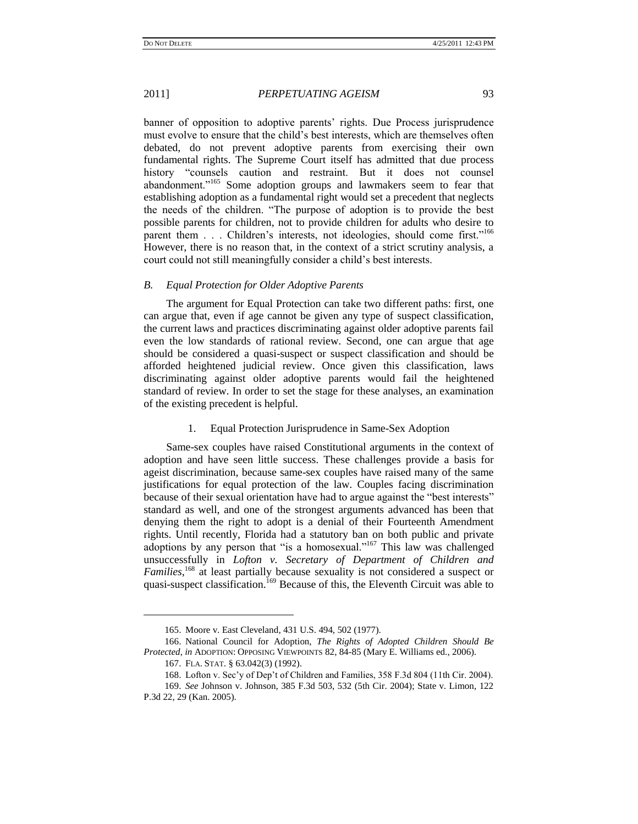banner of opposition to adoptive parents' rights. Due Process jurisprudence must evolve to ensure that the child's best interests, which are themselves often debated, do not prevent adoptive parents from exercising their own fundamental rights. The Supreme Court itself has admitted that due process history "counsels caution and restraint. But it does not counsel abandonment."<sup>165</sup> Some adoption groups and lawmakers seem to fear that establishing adoption as a fundamental right would set a precedent that neglects the needs of the children. "The purpose of adoption is to provide the best possible parents for children, not to provide children for adults who desire to parent them . . . Children's interests, not ideologies, should come first."<sup>166</sup> However, there is no reason that, in the context of a strict scrutiny analysis, a court could not still meaningfully consider a child's best interests.

#### *B. Equal Protection for Older Adoptive Parents*

The argument for Equal Protection can take two different paths: first, one can argue that, even if age cannot be given any type of suspect classification, the current laws and practices discriminating against older adoptive parents fail even the low standards of rational review. Second, one can argue that age should be considered a quasi-suspect or suspect classification and should be afforded heightened judicial review. Once given this classification, laws discriminating against older adoptive parents would fail the heightened standard of review. In order to set the stage for these analyses, an examination of the existing precedent is helpful.

## 1. Equal Protection Jurisprudence in Same-Sex Adoption

Same-sex couples have raised Constitutional arguments in the context of adoption and have seen little success. These challenges provide a basis for ageist discrimination, because same-sex couples have raised many of the same justifications for equal protection of the law. Couples facing discrimination because of their sexual orientation have had to argue against the "best interests" standard as well, and one of the strongest arguments advanced has been that denying them the right to adopt is a denial of their Fourteenth Amendment rights. Until recently, Florida had a statutory ban on both public and private adoptions by any person that "is a homosexual."<sup>167</sup> This law was challenged unsuccessfully in *Lofton v. Secretary of Department of Children and Families,*<sup>168</sup> at least partially because sexuality is not considered a suspect or quasi-suspect classification.<sup>169</sup> Because of this, the Eleventh Circuit was able to

<sup>165.</sup> Moore v. East Cleveland*,* 431 U.S. 494, 502 (1977).

<sup>166.</sup> National Council for Adoption, *The Rights of Adopted Children Should Be Protected*, *in* ADOPTION: OPPOSING VIEWPOINTS 82, 84-85 (Mary E. Williams ed., 2006).

<sup>167.</sup> FLA. STAT. § 63.042(3) (1992).

<sup>168.</sup> Lofton v. Sec'y of Dep't of Children and Families, 358 F.3d 804 (11th Cir. 2004).

<sup>169.</sup> *See* Johnson v. Johnson, 385 F.3d 503, 532 (5th Cir. 2004); State v. Limon, 122 P.3d 22, 29 (Kan. 2005).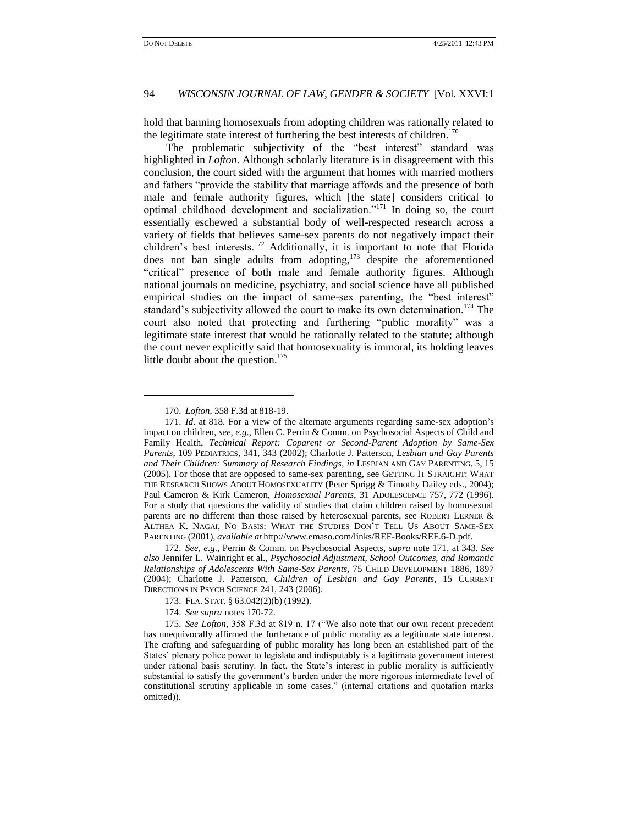hold that banning homosexuals from adopting children was rationally related to the legitimate state interest of furthering the best interests of children.<sup>170</sup>

The problematic subjectivity of the "best interest" standard was highlighted in *Lofton*. Although scholarly literature is in disagreement with this conclusion, the court sided with the argument that homes with married mothers and fathers "provide the stability that marriage affords and the presence of both male and female authority figures, which [the state] considers critical to optimal childhood development and socialization."<sup>171</sup> In doing so, the court essentially eschewed a substantial body of well-respected research across a variety of fields that believes same-sex parents do not negatively impact their children's best interests.<sup>172</sup> Additionally, it is important to note that Florida does not ban single adults from adopting, $1^{73}$  despite the aforementioned "critical" presence of both male and female authority figures. Although national journals on medicine, psychiatry, and social science have all published empirical studies on the impact of same-sex parenting, the "best interest" standard's subjectivity allowed the court to make its own determination.<sup>174</sup> The court also noted that protecting and furthering "public morality" was a legitimate state interest that would be rationally related to the statute; although the court never explicitly said that homosexuality is immoral, its holding leaves little doubt about the question. $175$ 

 $\overline{a}$ 

172. *See*, *e*.*g*., Perrin & Comm. on Psychosocial Aspects, *supra* note 171, at 343. *See also* Jennifer L. Wainright et al., *Psychosocial Adjustment, School Outcomes, and Romantic Relationships of Adolescents With Same-Sex Parents*, 75 CHILD DEVELOPMENT 1886, 1897 (2004); Charlotte J. Patterson, *Children of Lesbian and Gay Parents*, 15 CURRENT DIRECTIONS IN PSYCH SCIENCE 241, 243 (2006).

<sup>170.</sup> *Lofton*, 358 F.3d at 818-19.

<sup>171.</sup> *Id*. at 818. For a view of the alternate arguments regarding same-sex adoption's impact on children, *see*, *e*.*g*., Ellen C. Perrin & Comm. on Psychosocial Aspects of Child and Family Health, *Technical Report: Coparent or Second-Parent Adoption by Same-Sex Parents*, 109 PEDIATRICS, 341, 343 (2002); Charlotte J. Patterson, *Lesbian and Gay Parents and Their Children: Summary of Research Findings*, *in* LESBIAN AND GAY PARENTING, 5, 15 (2005). For those that are opposed to same-sex parenting, see GETTING IT STRAIGHT: WHAT THE RESEARCH SHOWS ABOUT HOMOSEXUALITY (Peter Sprigg & Timothy Dailey eds., 2004); Paul Cameron & Kirk Cameron, *Homosexual Parents*, 31 ADOLESCENCE 757, 772 (1996). For a study that questions the validity of studies that claim children raised by homosexual parents are no different than those raised by heterosexual parents, see ROBERT LERNER & ALTHEA K. NAGAI, NO BASIS: WHAT THE STUDIES DON'T TELL US ABOUT SAME-SEX PARENTING (2001), *available at* [http://www.emaso.com/links/REF-Books/REF.6-D.pdf.](http://www.emaso.com/links/REF-Books/REF.6-D.pdf)

<sup>173.</sup> FLA. STAT. § 63.042(2)(b) (1992).

<sup>174.</sup> *See supra* notes 170-72.

<sup>175.</sup> *See Lofton*, 358 F.3d at 819 n. 17 ("We also note that our own recent precedent has unequivocally affirmed the furtherance of public morality as a legitimate state interest. The crafting and safeguarding of public morality has long been an established part of the States' plenary police power to legislate and indisputably is a legitimate government interest under rational basis scrutiny. In fact, the State's interest in public morality is sufficiently substantial to satisfy the government's burden under the more rigorous intermediate level of constitutional scrutiny applicable in some cases.‖ (internal citations and quotation marks omitted)).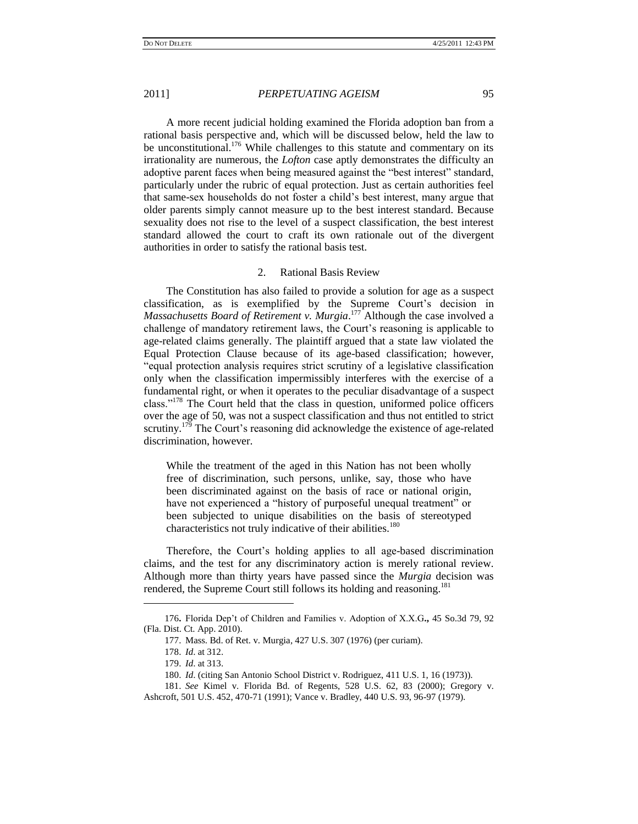A more recent judicial holding examined the Florida adoption ban from a rational basis perspective and, which will be discussed below, held the law to be unconstitutional.<sup>176</sup> While challenges to this statute and commentary on its irrationality are numerous, the *Lofton* case aptly demonstrates the difficulty an adoptive parent faces when being measured against the "best interest" standard, particularly under the rubric of equal protection. Just as certain authorities feel that same-sex households do not foster a child's best interest, many argue that older parents simply cannot measure up to the best interest standard. Because sexuality does not rise to the level of a suspect classification, the best interest standard allowed the court to craft its own rationale out of the divergent authorities in order to satisfy the rational basis test.

#### 2. Rational Basis Review

The Constitution has also failed to provide a solution for age as a suspect classification, as is exemplified by the Supreme Court's decision in *Massachusetts Board of Retirement v. Murgia*. <sup>177</sup> Although the case involved a challenge of mandatory retirement laws, the Court's reasoning is applicable to age-related claims generally. The plaintiff argued that a state law violated the Equal Protection Clause because of its age-based classification; however, "equal protection analysis requires strict scrutiny of a legislative classification only when the classification impermissibly interferes with the exercise of a fundamental right, or when it operates to the peculiar disadvantage of a suspect class."<sup>178</sup> The Court held that the class in question, uniformed police officers over the age of 50, was not a suspect classification and thus not entitled to strict scrutiny.<sup>179</sup> The Court's reasoning did acknowledge the existence of age-related discrimination, however.

While the treatment of the aged in this Nation has not been wholly free of discrimination, such persons, unlike, say, those who have been discriminated against on the basis of race or national origin, have not experienced a "history of purposeful unequal treatment" or been subjected to unique disabilities on the basis of stereotyped characteristics not truly indicative of their abilities.<sup>180</sup>

Therefore, the Court's holding applies to all age-based discrimination claims, and the test for any discriminatory action is merely rational review. Although more than thirty years have passed since the *Murgia* decision was rendered, the Supreme Court still follows its holding and reasoning.<sup>181</sup>

l

<sup>176</sup>**.** Florida Dep't of Children and Families v. Adoption of X.X.G**.,** 45 So.3d 79, 92 (Fla. Dist. Ct. App. 2010).

<sup>177.</sup> Mass. Bd. of Ret. v. Murgia*,* 427 U.S. 307 (1976) (per curiam).

<sup>178.</sup> *Id*. at 312.

<sup>179.</sup> *Id*. at 313.

<sup>180.</sup> *Id*. (citing San Antonio School District v. Rodriguez, 411 U.S. 1, 16 (1973)).

<sup>181.</sup> *See* Kimel v. Florida Bd. of Regents, 528 U.S. 62, 83 (2000); Gregory v. Ashcroft, 501 U.S. 452, 470-71 (1991); Vance v. Bradley, 440 U.S. 93, 96-97 (1979).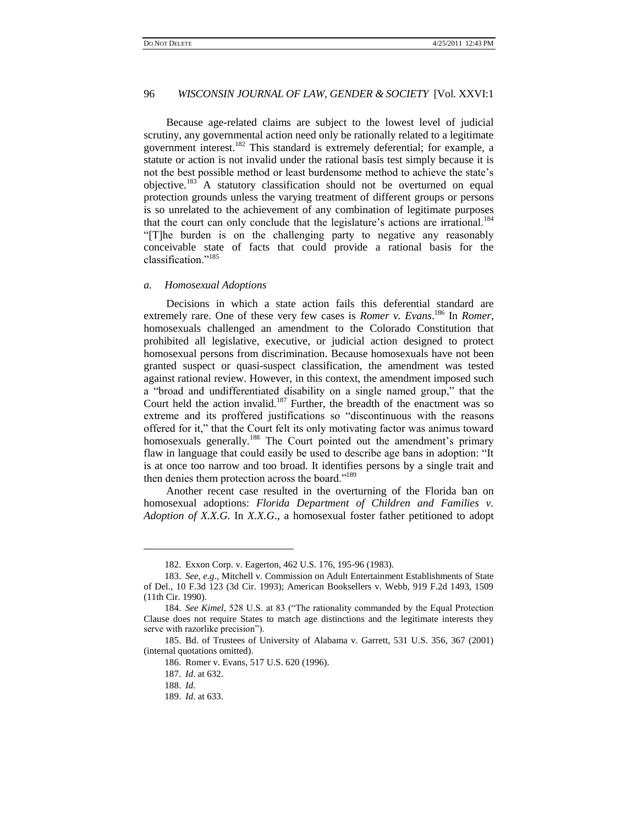Because age-related claims are subject to the lowest level of judicial scrutiny, any governmental action need only be rationally related to a legitimate government interest.<sup>182</sup> This standard is extremely deferential; for example, a statute or action is not invalid under the rational basis test simply because it is not the best possible method or least burdensome method to achieve the state's objective.<sup>183</sup> A statutory classification should not be overturned on equal protection grounds unless the varying treatment of different groups or persons is so unrelated to the achievement of any combination of legitimate purposes that the court can only conclude that the legislature's actions are irrational.<sup>184</sup> ―[T]he burden is on the challenging party to negative any reasonably conceivable state of facts that could provide a rational basis for the classification."<sup>185</sup>

### *a. Homosexual Adoptions*

Decisions in which a state action fails this deferential standard are extremely rare. One of these very few cases is *Romer v. Evans*. <sup>186</sup> In *Romer*, homosexuals challenged an amendment to the Colorado Constitution that prohibited all legislative, executive, or judicial action designed to protect homosexual persons from discrimination. Because homosexuals have not been granted suspect or quasi-suspect classification, the amendment was tested against rational review. However, in this context, the amendment imposed such a "broad and undifferentiated disability on a single named group," that the Court held the action invalid.<sup>187</sup> Further, the breadth of the enactment was so extreme and its proffered justifications so "discontinuous with the reasons offered for it," that the Court felt its only motivating factor was animus toward homosexuals generally.<sup>188</sup> The Court pointed out the amendment's primary flaw in language that could easily be used to describe age bans in adoption: "It is at once too narrow and too broad. It identifies persons by a single trait and then denies them protection across the board."<sup>189</sup>

Another recent case resulted in the overturning of the Florida ban on homosexual adoptions: *Florida Department of Children and Families v. Adoption of X.X.G*. In *X.X.G*., a homosexual foster father petitioned to adopt

<sup>182.</sup> Exxon Corp. v. Eagerton, 462 U.S. 176, 195-96 (1983).

<sup>183.</sup> *See, e*.*g*.*,* Mitchell v. Commission on Adult Entertainment Establishments of State of Del., 10 F.3d 123 (3d Cir. 1993); American Booksellers v. Webb, 919 F.2d 1493, 1509 (11th Cir. 1990).

<sup>184.</sup> *See Kimel*, 528 U.S. at 83 ("The rationality commanded by the Equal Protection Clause does not require States to match age distinctions and the legitimate interests they serve with razorlike precision").

<sup>185.</sup> Bd. of Trustees of University of Alabama v. Garrett, 531 U.S. 356, 367 (2001) (internal quotations omitted).

<sup>186.</sup> Romer v. Evans, 517 U.S. 620 (1996).

<sup>187.</sup> *Id*. at 632.

<sup>188.</sup> *Id*.

<sup>189.</sup> *Id*. at 633.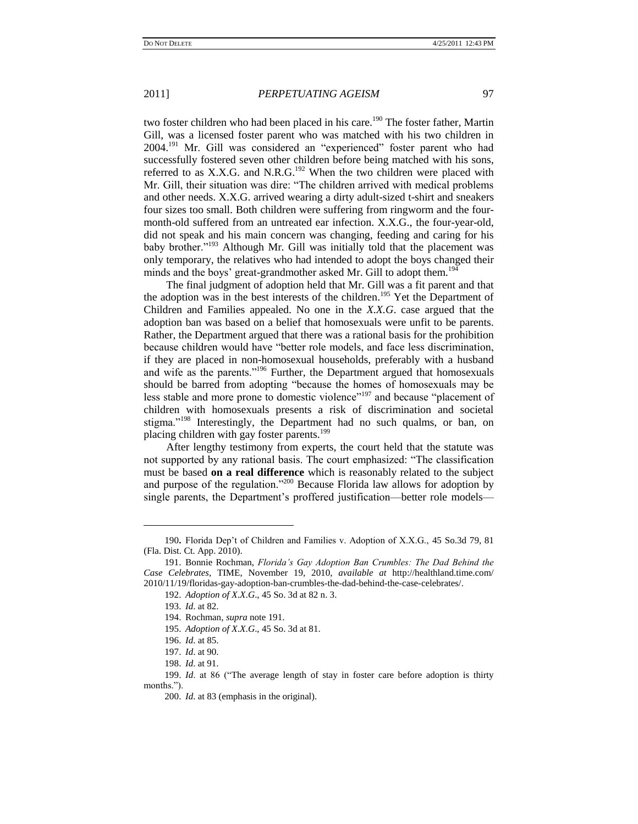two foster children who had been placed in his care.<sup>190</sup> The foster father, Martin Gill, was a licensed foster parent who was matched with his two children in 2004.<sup>191</sup> Mr. Gill was considered an "experienced" foster parent who had successfully fostered seven other children before being matched with his sons, referred to as  $X.X.G.$  and  $N.R.G.$ <sup>192</sup> When the two children were placed with Mr. Gill, their situation was dire: "The children arrived with medical problems and other needs. X.X.G. arrived wearing a dirty adult-sized t-shirt and sneakers four sizes too small. Both children were suffering from ringworm and the fourmonth-old suffered from an untreated ear infection. X.X.G., the four-year-old, did not speak and his main concern was changing, feeding and caring for his baby brother."<sup>193</sup> Although Mr. Gill was initially told that the placement was only temporary, the relatives who had intended to adopt the boys changed their minds and the boys' great-grandmother asked Mr. Gill to adopt them.<sup>194</sup>

The final judgment of adoption held that Mr. Gill was a fit parent and that the adoption was in the best interests of the children.<sup>195</sup> Yet the Department of Children and Families appealed. No one in the *X.X.G*. case argued that the adoption ban was based on a belief that homosexuals were unfit to be parents. Rather, the Department argued that there was a rational basis for the prohibition because children would have "better role models, and face less discrimination, if they are placed in non-homosexual households, preferably with a husband and wife as the parents."<sup>196</sup> Further, the Department argued that homosexuals should be barred from adopting "because the homes of homosexuals may be less stable and more prone to domestic violence"<sup>197</sup> and because "placement of children with homosexuals presents a risk of discrimination and societal stigma."<sup>198</sup> Interestingly, the Department had no such qualms, or ban, on placing children with gay foster parents.<sup>199</sup>

After lengthy testimony from experts, the court held that the statute was not supported by any rational basis. The court emphasized: "The classification must be based **on a real difference** which is reasonably related to the subject and purpose of the regulation."<sup>200</sup> Because Florida law allows for adoption by single parents, the Department's proffered justification—better role models—

<sup>190</sup>**.** Florida Dep't of Children and Families v. Adoption of X.X.G., 45 So.3d 79, 81 (Fla. Dist. Ct. App. 2010).

<sup>191.</sup> Bonnie Rochman, *Florida's Gay Adoption Ban Crumbles: The Dad Behind the Case Celebrates*, TIME, November 19, 2010, *available at* http://healthland.time.com/ 2010/11/19/floridas-gay-adoption-ban-crumbles-the-dad-behind-the-case-celebrates/.

<sup>192.</sup> *Adoption of X*.*X*.*G*., 45 So. 3d at 82 n. 3.

<sup>193.</sup> *Id*. at 82.

<sup>194.</sup> Rochman, *supra* note 191.

<sup>195.</sup> *Adoption of X*.*X*.*G*., 45 So. 3d at 81.

<sup>196.</sup> *Id*. at 85.

<sup>197.</sup> *Id*. at 90.

<sup>198.</sup> *Id*. at 91.

<sup>199.</sup> *Id.* at 86 ("The average length of stay in foster care before adoption is thirty months.").

<sup>200.</sup> *Id*. at 83 (emphasis in the original).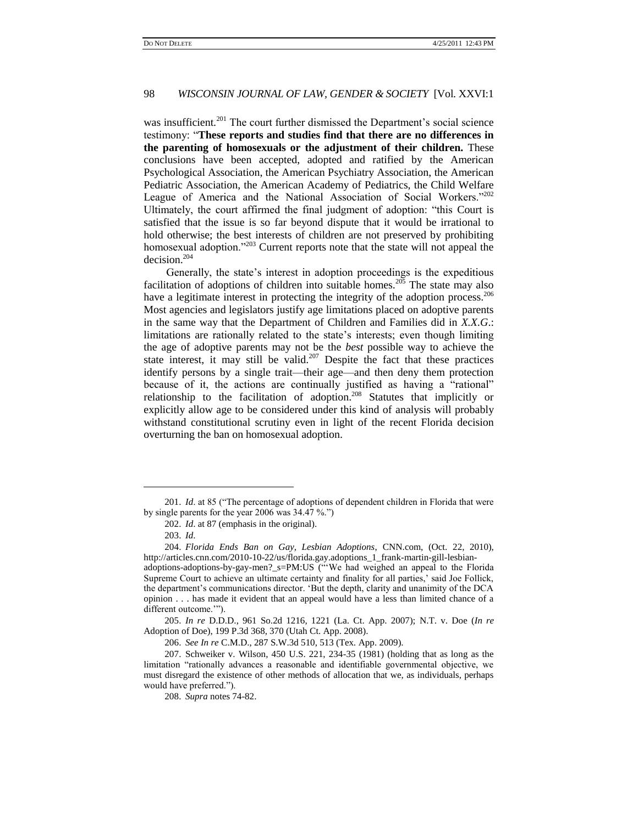was insufficient.<sup>201</sup> The court further dismissed the Department's social science testimony: "These reports and studies find that there are no differences in **the parenting of homosexuals or the adjustment of their children.** These conclusions have been accepted, adopted and ratified by the American Psychological Association, the American Psychiatry Association, the American Pediatric Association, the American Academy of Pediatrics, the Child Welfare League of America and the National Association of Social Workers."202 Ultimately, the court affirmed the final judgment of adoption: "this Court is satisfied that the issue is so far beyond dispute that it would be irrational to hold otherwise; the best interests of children are not preserved by prohibiting homosexual adoption."<sup>203</sup> Current reports note that the state will not appeal the decision.<sup>204</sup>

Generally, the state's interest in adoption proceedings is the expeditious facilitation of adoptions of children into suitable homes.<sup>205</sup> The state may also have a legitimate interest in protecting the integrity of the adoption process.<sup>206</sup> Most agencies and legislators justify age limitations placed on adoptive parents in the same way that the Department of Children and Families did in *X.X.G*.: limitations are rationally related to the state's interests; even though limiting the age of adoptive parents may not be the *best* possible way to achieve the state interest, it may still be valid.<sup>207</sup> Despite the fact that these practices identify persons by a single trait—their age—and then deny them protection because of it, the actions are continually justified as having a "rational" relationship to the facilitation of adoption.<sup>208</sup> Statutes that implicitly or explicitly allow age to be considered under this kind of analysis will probably withstand constitutional scrutiny even in light of the recent Florida decision overturning the ban on homosexual adoption.

<sup>201.</sup> *Id.* at 85 ("The percentage of adoptions of dependent children in Florida that were by single parents for the year 2006 was  $34.47$  %."

<sup>202.</sup> *Id*. at 87 (emphasis in the original).

<sup>203.</sup> *Id*.

<sup>204.</sup> *Florida Ends Ban on Gay, Lesbian Adoptions*, CNN.com, (Oct. 22, 2010), [http://articles.cnn.com/2010-10-22/us/florida.gay.adoptions\\_1\\_frank-martin-gill-lesbian](http://articles.cnn.com/2010-10-22/us/florida.gay.adoptions_1_frank-martin-gill-lesbian-adoptions-adoptions-by-gay-men?_s=PM:US)[adoptions-adoptions-by-gay-men?\\_s=PM:US](http://articles.cnn.com/2010-10-22/us/florida.gay.adoptions_1_frank-martin-gill-lesbian-adoptions-adoptions-by-gay-men?_s=PM:US) ("We had weighed an appeal to the Florida Supreme Court to achieve an ultimate certainty and finality for all parties,' said Joe Follick, the department's communications director. ‗But the depth, clarity and unanimity of the DCA opinion . . . has made it evident that an appeal would have a less than limited chance of a different outcome."").

<sup>205.</sup> *In re* D.D.D., 961 So.2d 1216, 1221 (La. Ct. App. 2007); N.T. v. Doe (*In re*  Adoption of Doe), 199 P.3d 368, 370 (Utah Ct. App. 2008).

<sup>206.</sup> *See In re* C.M.D., 287 S.W.3d 510, 513 (Tex. App. 2009).

<sup>207.</sup> Schweiker v. Wilson, 450 U.S. 221, 234-35 (1981) (holding that as long as the limitation "rationally advances a reasonable and identifiable governmental objective, we must disregard the existence of other methods of allocation that we, as individuals, perhaps would have preferred.").

<sup>208.</sup> *Supra* notes 74-82.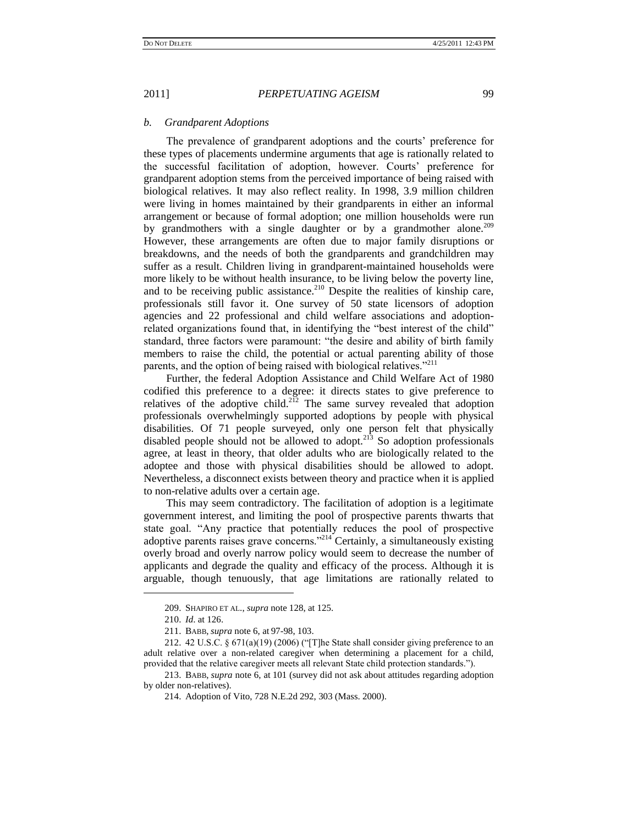#### *b. Grandparent Adoptions*

The prevalence of grandparent adoptions and the courts' preference for these types of placements undermine arguments that age is rationally related to the successful facilitation of adoption, however. Courts' preference for grandparent adoption stems from the perceived importance of being raised with biological relatives. It may also reflect reality. In 1998, 3.9 million children were living in homes maintained by their grandparents in either an informal arrangement or because of formal adoption; one million households were run by grandmothers with a single daughter or by a grandmother alone.<sup>209</sup> However, these arrangements are often due to major family disruptions or breakdowns, and the needs of both the grandparents and grandchildren may suffer as a result. Children living in grandparent-maintained households were more likely to be without health insurance, to be living below the poverty line, and to be receiving public assistance.<sup>210</sup> Despite the realities of kinship care, professionals still favor it. One survey of 50 state licensors of adoption agencies and 22 professional and child welfare associations and adoptionrelated organizations found that, in identifying the "best interest of the child" standard, three factors were paramount: "the desire and ability of birth family members to raise the child, the potential or actual parenting ability of those parents, and the option of being raised with biological relatives."<sup>211</sup>

Further, the federal Adoption Assistance and Child Welfare Act of 1980 codified this preference to a degree: it directs states to give preference to relatives of the adoptive child.<sup>212</sup> The same survey revealed that adoption professionals overwhelmingly supported adoptions by people with physical disabilities. Of 71 people surveyed, only one person felt that physically disabled people should not be allowed to adopt.<sup>213</sup> So adoption professionals agree, at least in theory, that older adults who are biologically related to the adoptee and those with physical disabilities should be allowed to adopt. Nevertheless, a disconnect exists between theory and practice when it is applied to non-relative adults over a certain age.

This may seem contradictory. The facilitation of adoption is a legitimate government interest, and limiting the pool of prospective parents thwarts that state goal. "Any practice that potentially reduces the pool of prospective adoptive parents raises grave concerns.<sup> $214$ </sup> Certainly, a simultaneously existing overly broad and overly narrow policy would seem to decrease the number of applicants and degrade the quality and efficacy of the process. Although it is arguable, though tenuously, that age limitations are rationally related to

<sup>209.</sup> SHAPIRO ET AL., *supra* note 128, at 125.

<sup>210.</sup> *Id*. at 126.

<sup>211.</sup> BABB, *supra* note 6, at 97-98, 103.

<sup>212. 42</sup> U.S.C.  $\S 671(a)(19)$  (2006) ("The State shall consider giving preference to an adult relative over a non-related caregiver when determining a placement for a child, provided that the relative caregiver meets all relevant State child protection standards.").

<sup>213.</sup> BABB, *supra* note 6, at 101 (survey did not ask about attitudes regarding adoption by older non-relatives).

<sup>214.</sup> Adoption of Vito, 728 N.E.2d 292, 303 (Mass. 2000).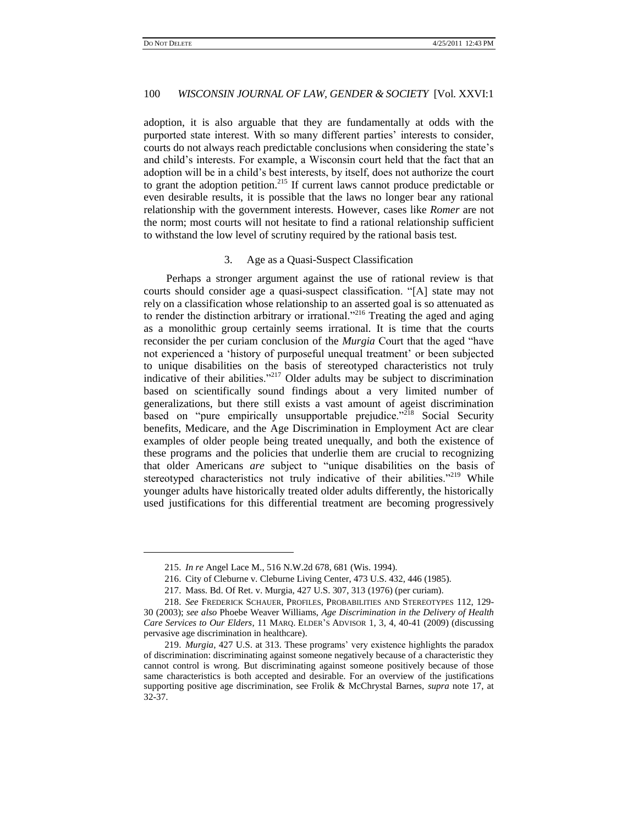### 100 *WISCONSIN JOURNAL OF LAW, GENDER & SOCIETY* [Vol. XXVI:1

adoption, it is also arguable that they are fundamentally at odds with the purported state interest. With so many different parties' interests to consider, courts do not always reach predictable conclusions when considering the state's and child's interests. For example, a Wisconsin court held that the fact that an adoption will be in a child's best interests, by itself, does not authorize the court to grant the adoption petition.<sup>215</sup> If current laws cannot produce predictable or even desirable results, it is possible that the laws no longer bear any rational relationship with the government interests. However, cases like *Romer* are not the norm; most courts will not hesitate to find a rational relationship sufficient to withstand the low level of scrutiny required by the rational basis test.

#### 3. Age as a Quasi-Suspect Classification

Perhaps a stronger argument against the use of rational review is that courts should consider age a quasi-suspect classification. "[A] state may not rely on a classification whose relationship to an asserted goal is so attenuated as to render the distinction arbitrary or irrational.<sup>2216</sup> Treating the aged and aging as a monolithic group certainly seems irrational. It is time that the courts reconsider the per curiam conclusion of the *Murgia* Court that the aged "have not experienced a ‗history of purposeful unequal treatment' or been subjected to unique disabilities on the basis of stereotyped characteristics not truly indicative of their abilities." $^{217}$  Older adults may be subject to discrimination based on scientifically sound findings about a very limited number of generalizations, but there still exists a vast amount of ageist discrimination based on "pure empirically unsupportable prejudice."<sup>218</sup> Social Security benefits, Medicare, and the Age Discrimination in Employment Act are clear examples of older people being treated unequally, and both the existence of these programs and the policies that underlie them are crucial to recognizing that older Americans *are* subject to "unique disabilities on the basis of stereotyped characteristics not truly indicative of their abilities.<sup> $219$ </sup> While younger adults have historically treated older adults differently, the historically used justifications for this differential treatment are becoming progressively

<sup>215.</sup> *In re* Angel Lace M., 516 N.W.2d 678, 681 (Wis. 1994).

<sup>216.</sup> City of Cleburne v. Cleburne Living Center, 473 U.S. 432, 446 (1985).

<sup>217.</sup> Mass. Bd. Of Ret. v. Murgia*,* 427 U.S. 307, 313 (1976) (per curiam).

<sup>218.</sup> *See* FREDERICK SCHAUER, PROFILES, PROBABILITIES AND STEREOTYPES 112, 129- 30 (2003); *see also* Phoebe Weaver Williams, *Age Discrimination in the Delivery of Health Care Services to Our Elders*, 11 MARQ. ELDER'S ADVISOR 1, 3, 4, 40-41 (2009) (discussing pervasive age discrimination in healthcare).

<sup>219.</sup> *Murgia*, 427 U.S. at 313. These programs' very existence highlights the paradox of discrimination: discriminating against someone negatively because of a characteristic they cannot control is wrong. But discriminating against someone positively because of those same characteristics is both accepted and desirable. For an overview of the justifications supporting positive age discrimination, see Frolik & McChrystal Barnes, *supra* note 17, at 32-37.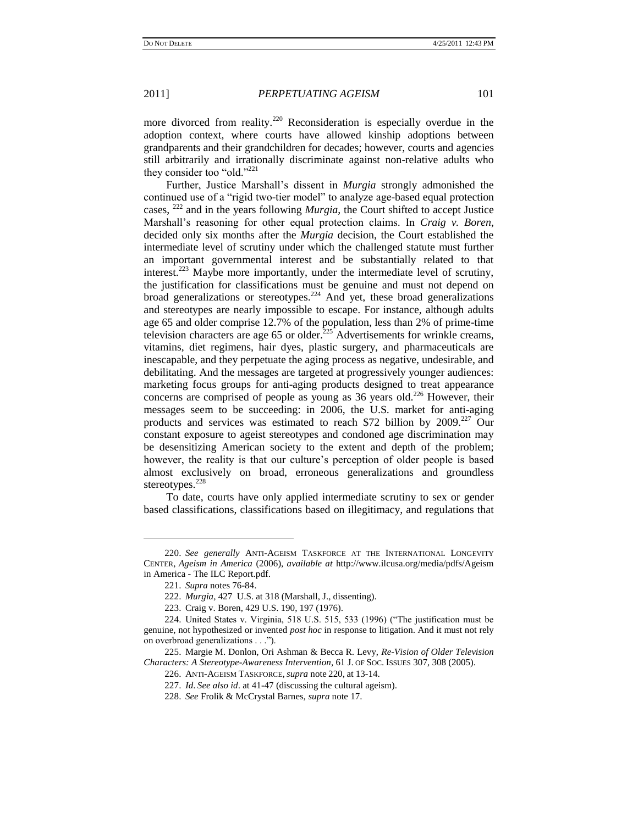more divorced from reality.<sup>220</sup> Reconsideration is especially overdue in the adoption context, where courts have allowed kinship adoptions between grandparents and their grandchildren for decades; however, courts and agencies still arbitrarily and irrationally discriminate against non-relative adults who they consider too "old." $221$ 

Further, Justice Marshall's dissent in *Murgia* strongly admonished the continued use of a "rigid two-tier model" to analyze age-based equal protection cases, <sup>222</sup> and in the years following *Murgia*, the Court shifted to accept Justice Marshall's reasoning for other equal protection claims. In *Craig v. Boren*, decided only six months after the *Murgia* decision, the Court established the intermediate level of scrutiny under which the challenged statute must further an important governmental interest and be substantially related to that interest. $223$  Maybe more importantly, under the intermediate level of scrutiny, the justification for classifications must be genuine and must not depend on broad generalizations or stereotypes.<sup>224</sup> And yet, these broad generalizations and stereotypes are nearly impossible to escape. For instance, although adults age 65 and older comprise 12.7% of the population, less than 2% of prime-time television characters are age 65 or older.<sup>225</sup> Advertisements for wrinkle creams, vitamins, diet regimens, hair dyes, plastic surgery, and pharmaceuticals are inescapable, and they perpetuate the aging process as negative, undesirable, and debilitating. And the messages are targeted at progressively younger audiences: marketing focus groups for anti-aging products designed to treat appearance concerns are comprised of people as young as  $36$  years old.<sup>226</sup> However, their messages seem to be succeeding: in 2006, the U.S. market for anti-aging products and services was estimated to reach \$72 billion by  $2009$ <sup>227</sup> Our constant exposure to ageist stereotypes and condoned age discrimination may be desensitizing American society to the extent and depth of the problem; however, the reality is that our culture's perception of older people is based almost exclusively on broad, erroneous generalizations and groundless stereotypes.<sup>228</sup>

To date, courts have only applied intermediate scrutiny to sex or gender based classifications, classifications based on illegitimacy, and regulations that

<sup>220.</sup> *See generally* ANTI-AGEISM TASKFORCE AT THE INTERNATIONAL LONGEVITY CENTER, *Ageism in America* (2006), *available at* [http://www.ilcusa.org/media/pdfs/Ageism](http://www.ilcusa.org/media/pdfs/Ageism%20in%20America%20-%20The%20ILC%20Report.pdf)  in America - [The ILC Report.pdf.](http://www.ilcusa.org/media/pdfs/Ageism%20in%20America%20-%20The%20ILC%20Report.pdf)

<sup>221.</sup> *Supra* notes 76-84.

<sup>222.</sup> *Murgia,* 427 U.S. at 318 (Marshall, J., dissenting).

<sup>223.</sup> Craig v. Boren, 429 U.S. 190, 197 (1976).

<sup>224.</sup> United States v. Virginia, 518 U.S. 515, 533 (1996) ("The justification must be genuine, not hypothesized or invented *post hoc* in response to litigation. And it must not rely on overbroad generalizations . . .").

<sup>225.</sup> Margie M. Donlon, Ori Ashman & Becca R. Levy, *Re-Vision of Older Television Characters: A Stereotype-Awareness Intervention*, 61 J. OF SOC. ISSUES 307, 308 (2005).

<sup>226.</sup> ANTI-AGEISM TASKFORCE, *supra* note 220, at 13-14.

<sup>227.</sup> *Id*. *See also id*. at 41-47 (discussing the cultural ageism).

<sup>228.</sup> *See* Frolik & McCrystal Barnes, *supra* note 17.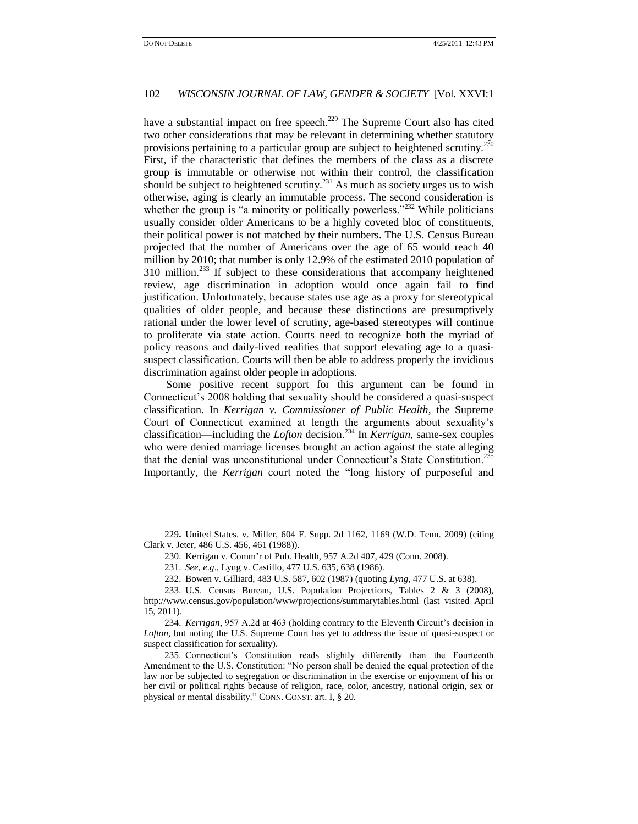### 102 *WISCONSIN JOURNAL OF LAW, GENDER & SOCIETY* [Vol. XXVI:1

have a substantial impact on free speech.<sup>229</sup> The Supreme Court also has cited two other considerations that may be relevant in determining whether statutory provisions pertaining to a particular group are subject to heightened scrutiny.<sup>230</sup> First, if the characteristic that defines the members of the class as a discrete group is immutable or otherwise not within their control, the classification should be subject to heightened scrutiny.<sup>231</sup> As much as society urges us to wish otherwise, aging is clearly an immutable process. The second consideration is whether the group is "a minority or politically powerless."<sup>232</sup> While politicians usually consider older Americans to be a highly coveted bloc of constituents, their political power is not matched by their numbers. The U.S. Census Bureau projected that the number of Americans over the age of 65 would reach 40 million by 2010; that number is only 12.9% of the estimated 2010 population of 310 million.<sup>233</sup> If subject to these considerations that accompany heightened review, age discrimination in adoption would once again fail to find justification. Unfortunately, because states use age as a proxy for stereotypical qualities of older people, and because these distinctions are presumptively rational under the lower level of scrutiny, age-based stereotypes will continue to proliferate via state action. Courts need to recognize both the myriad of policy reasons and daily-lived realities that support elevating age to a quasisuspect classification. Courts will then be able to address properly the invidious discrimination against older people in adoptions.

Some positive recent support for this argument can be found in Connecticut's 2008 holding that sexuality should be considered a quasi-suspect classification. In *Kerrigan v. Commissioner of Public Health*, the Supreme Court of Connecticut examined at length the arguments about sexuality's classification—including the *Lofton* decision.<sup>234</sup> In *Kerrigan*, same-sex couples who were denied marriage licenses brought an action against the state alleging that the denial was unconstitutional under Connecticut's State Constitution.<sup>235</sup> Importantly, the *Kerrigan* court noted the "long history of purposeful and

<sup>229</sup>**.** United States. v. Miller, 604 F. Supp. 2d 1162, 1169 (W.D. Tenn. 2009) (citing Clark v. Jeter, 486 U.S. 456, 461 (1988)).

<sup>230.</sup> Kerrigan v. Comm'r of Pub. Health, 957 A.2d 407, 429 (Conn. 2008).

<sup>231.</sup> *See, e*.*g*., Lyng v. Castillo, 477 U.S. 635, 638 (1986).

<sup>232.</sup> Bowen v. Gilliard, 483 U.S. 587, 602 (1987) (quoting *Lyng*, 477 U.S. at 638).

<sup>233.</sup> U.S. Census Bureau, U.S. Population Projections, Tables 2 & 3 (2008), <http://www.census.gov/population/www/projections/summarytables.html> (last visited April 15, 2011).

<sup>234.</sup> *Kerrigan*, 957 A.2d at 463 (holding contrary to the Eleventh Circuit's decision in *Lofton*, but noting the U.S. Supreme Court has yet to address the issue of quasi-suspect or suspect classification for sexuality).

<sup>235.</sup> Connecticut's Constitution reads slightly differently than the Fourteenth Amendment to the U.S. Constitution: "No person shall be denied the equal protection of the law nor be subjected to segregation or discrimination in the exercise or enjoyment of his or her civil or political rights because of religion, race, color, ancestry, national origin, sex or physical or mental disability." CONN. CONST. art. I, § 20.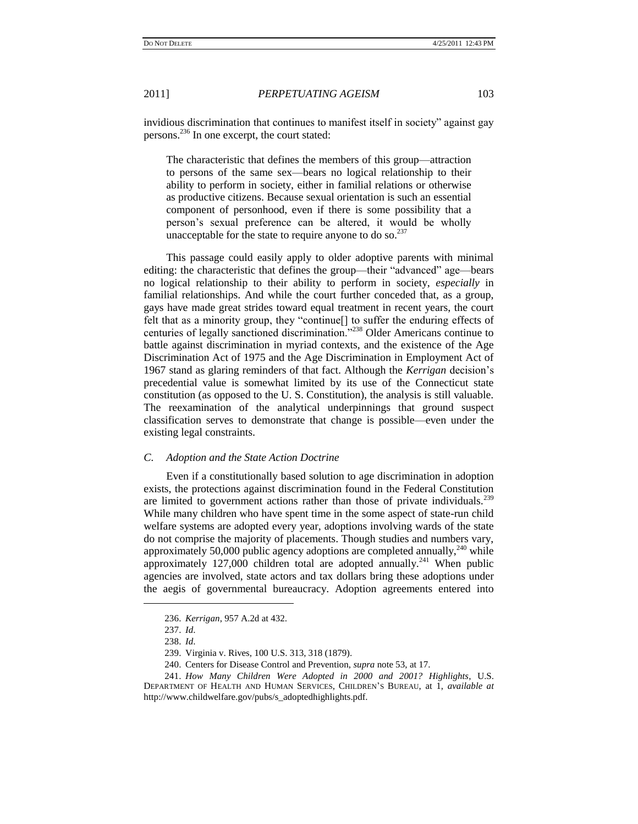invidious discrimination that continues to manifest itself in society" against gay persons.<sup>236</sup> In one excerpt, the court stated:

The characteristic that defines the members of this group—attraction to persons of the same sex—bears no logical relationship to their ability to perform in society, either in familial relations or otherwise as productive citizens. Because sexual orientation is such an essential component of personhood, even if there is some possibility that a person's sexual preference can be altered, it would be wholly unacceptable for the state to require anyone to do so. $237$ 

This passage could easily apply to older adoptive parents with minimal editing: the characteristic that defines the group—their "advanced" age—bears no logical relationship to their ability to perform in society, *especially* in familial relationships. And while the court further conceded that, as a group, gays have made great strides toward equal treatment in recent years, the court felt that as a minority group, they "continue[] to suffer the enduring effects of centuries of legally sanctioned discrimination.<sup>7238</sup> Older Americans continue to battle against discrimination in myriad contexts, and the existence of the Age Discrimination Act of 1975 and the Age Discrimination in Employment Act of 1967 stand as glaring reminders of that fact. Although the *Kerrigan* decision's precedential value is somewhat limited by its use of the Connecticut state constitution (as opposed to the U. S. Constitution), the analysis is still valuable. The reexamination of the analytical underpinnings that ground suspect classification serves to demonstrate that change is possible—even under the existing legal constraints.

### *C. Adoption and the State Action Doctrine*

Even if a constitutionally based solution to age discrimination in adoption exists, the protections against discrimination found in the Federal Constitution are limited to government actions rather than those of private individuals.<sup>239</sup> While many children who have spent time in the some aspect of state-run child welfare systems are adopted every year, adoptions involving wards of the state do not comprise the majority of placements. Though studies and numbers vary, approximately 50,000 public agency adoptions are completed annually,  $240$  while approximately  $127,000$  children total are adopted annually.<sup>241</sup> When public agencies are involved, state actors and tax dollars bring these adoptions under the aegis of governmental bureaucracy. Adoption agreements entered into

l

240. Centers for Disease Control and Prevention, *supra* note 53, at 17.

<sup>236.</sup> *Kerrigan*, 957 A.2d at 432.

<sup>237.</sup> *Id*.

<sup>238.</sup> *Id*.

<sup>239.</sup> Virginia v. Rives, 100 U.S. 313, 318 (1879).

<sup>241.</sup> *How Many Children Were Adopted in 2000 and 2001? Highlights*, U.S. DEPARTMENT OF HEALTH AND HUMAN SERVICES, CHILDREN'S BUREAU, at 1, *available at*  [http://www.childwelfare.gov/pubs/s\\_adoptedhighlights.pdf.](http://www.childwelfare.gov/pubs/s_adoptedhighlights.pdf)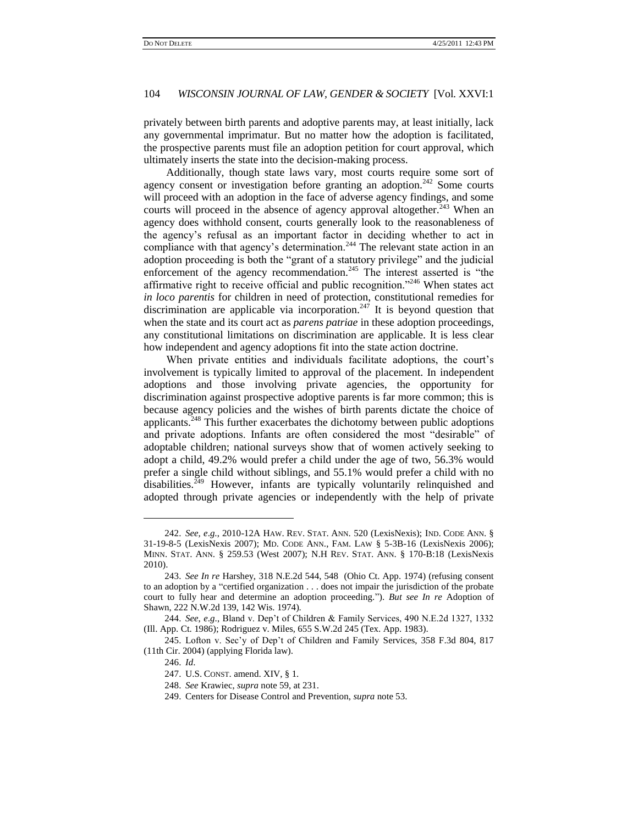privately between birth parents and adoptive parents may, at least initially, lack any governmental imprimatur. But no matter how the adoption is facilitated, the prospective parents must file an adoption petition for court approval, which ultimately inserts the state into the decision-making process.

Additionally, though state laws vary, most courts require some sort of agency consent or investigation before granting an adoption.<sup>242</sup> Some courts will proceed with an adoption in the face of adverse agency findings, and some courts will proceed in the absence of agency approval altogether.<sup>243</sup> When an agency does withhold consent, courts generally look to the reasonableness of the agency's refusal as an important factor in deciding whether to act in compliance with that agency's determination.<sup>244</sup> The relevant state action in an adoption proceeding is both the "grant of a statutory privilege" and the judicial enforcement of the agency recommendation.<sup>245</sup> The interest asserted is "the affirmative right to receive official and public recognition.<sup> $246$ </sup> When states act *in loco parentis* for children in need of protection, constitutional remedies for discrimination are applicable via incorporation.<sup>247</sup> It is beyond question that when the state and its court act as *parens patriae* in these adoption proceedings, any constitutional limitations on discrimination are applicable. It is less clear how independent and agency adoptions fit into the state action doctrine.

When private entities and individuals facilitate adoptions, the court's involvement is typically limited to approval of the placement. In independent adoptions and those involving private agencies, the opportunity for discrimination against prospective adoptive parents is far more common; this is because agency policies and the wishes of birth parents dictate the choice of applicants.<sup>248</sup> This further exacerbates the dichotomy between public adoptions and private adoptions. Infants are often considered the most "desirable" of adoptable children; national surveys show that of women actively seeking to adopt a child, 49.2% would prefer a child under the age of two, 56.3% would prefer a single child without siblings, and 55.1% would prefer a child with no disabilities.<sup>249</sup> However, infants are typically voluntarily relinquished and adopted through private agencies or independently with the help of private

<sup>242.</sup> *See, e*.*g*., 2010-12A HAW. REV. STAT. ANN. 520 (LexisNexis); IND. CODE ANN. § 31-19-8-5 (LexisNexis 2007); MD. CODE ANN., FAM. LAW § 5-3B-16 (LexisNexis 2006); MINN. STAT. ANN. § 259.53 (West 2007); N.H REV. STAT. ANN. § 170-B:18 (LexisNexis 2010).

<sup>243.</sup> *See In re* Harshey, 318 N.E.2d 544, 548 (Ohio Ct. App. 1974) (refusing consent to an adoption by a "certified organization . . . does not impair the jurisdiction of the probate court to fully hear and determine an adoption proceeding."). But see In re Adoption of Shawn, 222 N.W.2d 139, 142 Wis. 1974).

<sup>244.</sup> *See*, *e*.*g*., Bland v. Dep't of Children & Family Services, 490 N.E.2d 1327, 1332 (Ill. App. Ct. 1986); Rodriguez v. Miles, 655 S.W.2d 245 (Tex. App. 1983).

<sup>245.</sup> Lofton v. Sec'y of Dep't of Children and Family Services, 358 F.3d 804, 817 (11th Cir. 2004) (applying Florida law).

<sup>246.</sup> *Id*.

<sup>247.</sup> U.S. CONST. amend. XIV, § 1.

<sup>248.</sup> *See* Krawiec, *supra* note 59, at 231.

<sup>249.</sup> Centers for Disease Control and Prevention, *supra* note 53.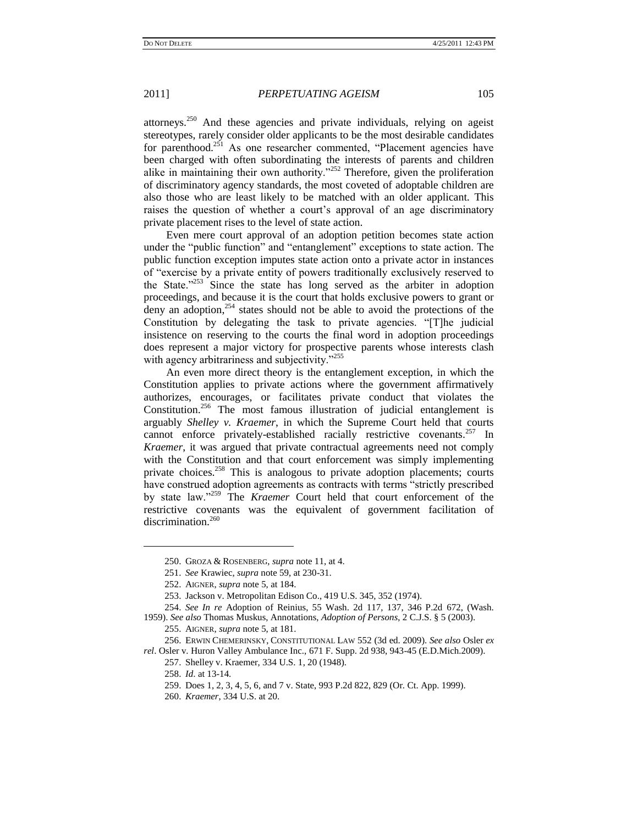attorneys.<sup>250</sup> And these agencies and private individuals, relying on ageist stereotypes, rarely consider older applicants to be the most desirable candidates for parenthood.<sup>251</sup> As one researcher commented, "Placement agencies have been charged with often subordinating the interests of parents and children alike in maintaining their own authority.<sup>3252</sup> Therefore, given the proliferation of discriminatory agency standards, the most coveted of adoptable children are also those who are least likely to be matched with an older applicant. This raises the question of whether a court's approval of an age discriminatory private placement rises to the level of state action.

Even mere court approval of an adoption petition becomes state action under the "public function" and "entanglement" exceptions to state action. The public function exception imputes state action onto a private actor in instances of "exercise by a private entity of powers traditionally exclusively reserved to the State.<sup>2253</sup> Since the state has long served as the arbiter in adoption proceedings, and because it is the court that holds exclusive powers to grant or deny an adoption, $254$  states should not be able to avoid the protections of the Constitution by delegating the task to private agencies. "[T]he judicial insistence on reserving to the courts the final word in adoption proceedings does represent a major victory for prospective parents whose interests clash with agency arbitrariness and subjectivity."<sup>255</sup>

An even more direct theory is the entanglement exception, in which the Constitution applies to private actions where the government affirmatively authorizes, encourages, or facilitates private conduct that violates the Constitution.<sup>256</sup> The most famous illustration of judicial entanglement is arguably *Shelley v. Kraemer*, in which the Supreme Court held that courts cannot enforce privately-established racially restrictive covenants.<sup>257</sup> In *Kraemer*, it was argued that private contractual agreements need not comply with the Constitution and that court enforcement was simply implementing private choices.<sup>258</sup> This is analogous to private adoption placements; courts have construed adoption agreements as contracts with terms "strictly prescribed by state law."<sup>259</sup> The *Kraemer* Court held that court enforcement of the restrictive covenants was the equivalent of government facilitation of discrimination.<sup>260</sup>

<sup>250.</sup> GROZA & ROSENBERG, *supra* note 11, at 4.

<sup>251.</sup> *See* Krawiec, *supra* note 59, at 230-31.

<sup>252.</sup> AIGNER, *supra* note 5, at 184.

<sup>253.</sup> Jackson v. Metropolitan Edison Co., 419 U.S. 345, 352 (1974).

<sup>254.</sup> *See In re* Adoption of Reinius, 55 Wash. 2d 117, 137, 346 P.2d 672, (Wash. 1959). *See also* Thomas Muskus, Annotations, *Adoption of Persons*, 2 C.J.S. § 5 (2003).

<sup>255.</sup> AIGNER, *supra* note 5, at 181.

<sup>256.</sup> ERWIN CHEMERINSKY, CONSTITUTIONAL LAW 552 (3d ed. 2009). *See also* Osler *ex rel*. Osler v. Huron Valley Ambulance Inc., 671 F. Supp. 2d 938, 943-45 (E.D.Mich.2009).

<sup>257.</sup> Shelley v. Kraemer, 334 U.S. 1, 20 (1948).

<sup>258.</sup> *Id*. at 13-14.

<sup>259.</sup> Does 1, 2, 3, 4, 5, 6, and 7 v. State, 993 P.2d 822, 829 (Or. Ct. App. 1999).

<sup>260.</sup> *Kraemer*, 334 U.S. at 20.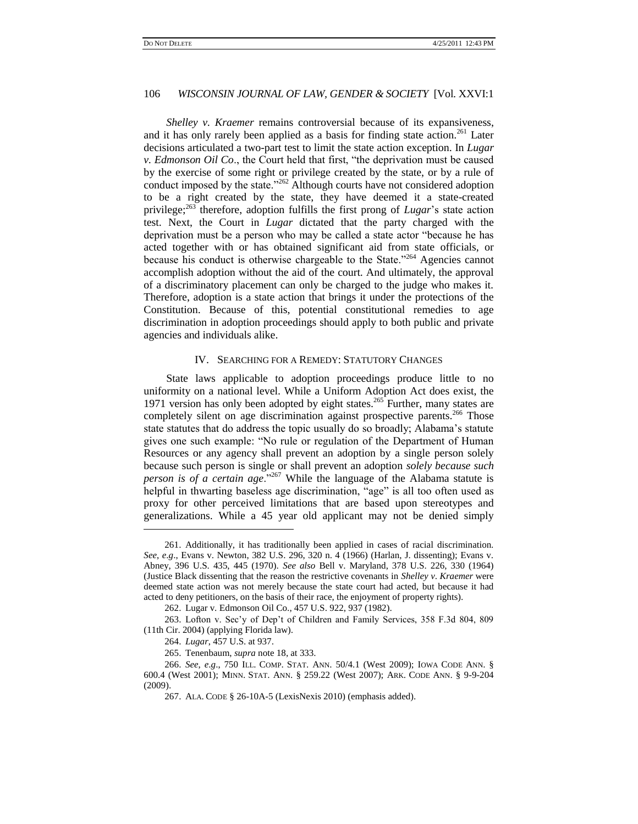*Shelley v. Kraemer* remains controversial because of its expansiveness, and it has only rarely been applied as a basis for finding state action.<sup>261</sup> Later decisions articulated a two-part test to limit the state action exception. In *Lugar v. Edmonson Oil Co.*, the Court held that first, "the deprivation must be caused by the exercise of some right or privilege created by the state, or by a rule of conduct imposed by the state.<sup>2262</sup> Although courts have not considered adoption to be a right created by the state, they have deemed it a state-created privilege; <sup>263</sup> therefore, adoption fulfills the first prong of *Lugar*'s state action test. Next, the Court in *Lugar* dictated that the party charged with the deprivation must be a person who may be called a state actor "because he has acted together with or has obtained significant aid from state officials, or because his conduct is otherwise chargeable to the State."<sup>264</sup> Agencies cannot accomplish adoption without the aid of the court. And ultimately, the approval of a discriminatory placement can only be charged to the judge who makes it. Therefore, adoption is a state action that brings it under the protections of the Constitution. Because of this, potential constitutional remedies to age discrimination in adoption proceedings should apply to both public and private agencies and individuals alike.

#### IV. SEARCHING FOR A REMEDY: STATUTORY CHANGES

State laws applicable to adoption proceedings produce little to no uniformity on a national level. While a Uniform Adoption Act does exist, the 1971 version has only been adopted by eight states.<sup>265</sup> Further, many states are completely silent on age discrimination against prospective parents.<sup>266</sup> Those state statutes that do address the topic usually do so broadly; Alabama's statute gives one such example: "No rule or regulation of the Department of Human Resources or any agency shall prevent an adoption by a single person solely because such person is single or shall prevent an adoption *solely because such person is of a certain age.*<sup>267</sup> While the language of the Alabama statute is helpful in thwarting baseless age discrimination, "age" is all too often used as proxy for other perceived limitations that are based upon stereotypes and generalizations. While a 45 year old applicant may not be denied simply

<sup>261.</sup> Additionally, it has traditionally been applied in cases of racial discrimination. *See*, *e*.*g*., Evans v. Newton, 382 U.S. 296, 320 n. 4 (1966) (Harlan, J. dissenting); Evans v. Abney, 396 U.S. 435, 445 (1970). *See also* Bell v. Maryland, 378 U.S. 226, 330 (1964) (Justice Black dissenting that the reason the restrictive covenants in *Shelley v*. *Kraemer* were deemed state action was not merely because the state court had acted, but because it had acted to deny petitioners, on the basis of their race, the enjoyment of property rights).

<sup>262.</sup> Lugar v. Edmonson Oil Co., 457 U.S. 922, 937 (1982).

<sup>263.</sup> Lofton v. Sec'y of Dep't of Children and Family Services, 358 F.3d 804, 809 (11th Cir. 2004) (applying Florida law).

<sup>264.</sup> *Lugar*, 457 U.S. at 937.

<sup>265.</sup> Tenenbaum, *supra* note 18, at 333.

<sup>266.</sup> *See*, *e*.*g*., 750 ILL. COMP. STAT. ANN. 50/4.1 (West 2009); IOWA CODE ANN. § 600.4 (West 2001); MINN. STAT. ANN. § 259.22 (West 2007); ARK. CODE ANN. § 9-9-204 (2009).

<sup>267.</sup> ALA. CODE § 26-10A-5 (LexisNexis 2010) (emphasis added).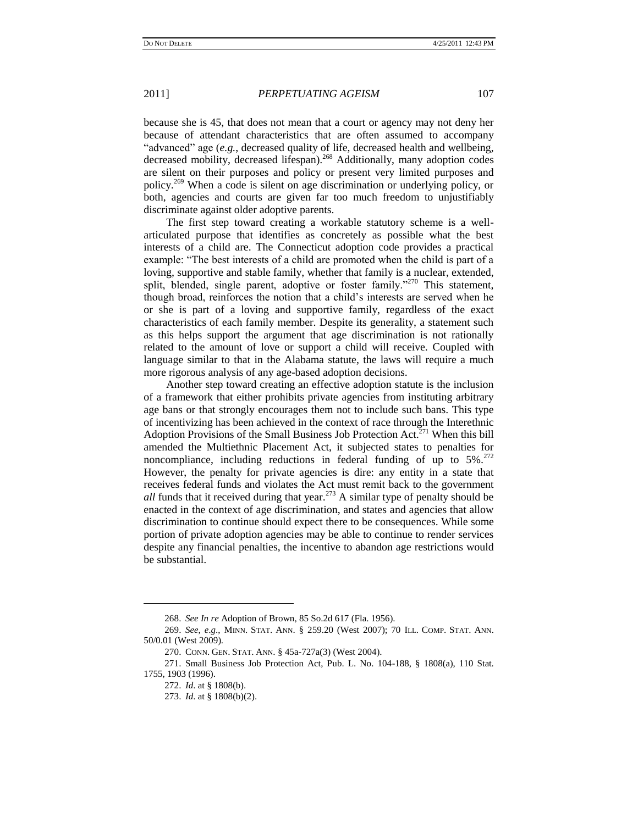because she is 45, that does not mean that a court or agency may not deny her because of attendant characteristics that are often assumed to accompany "advanced" age (*e.g.*, decreased quality of life, decreased health and wellbeing, decreased mobility, decreased lifespan).<sup>268</sup> Additionally, many adoption codes are silent on their purposes and policy or present very limited purposes and policy.<sup>269</sup> When a code is silent on age discrimination or underlying policy, or both, agencies and courts are given far too much freedom to unjustifiably discriminate against older adoptive parents.

The first step toward creating a workable statutory scheme is a wellarticulated purpose that identifies as concretely as possible what the best interests of a child are. The Connecticut adoption code provides a practical example: "The best interests of a child are promoted when the child is part of a loving, supportive and stable family, whether that family is a nuclear, extended, split, blended, single parent, adoptive or foster family.<sup>270</sup> This statement, though broad, reinforces the notion that a child's interests are served when he or she is part of a loving and supportive family, regardless of the exact characteristics of each family member. Despite its generality, a statement such as this helps support the argument that age discrimination is not rationally related to the amount of love or support a child will receive. Coupled with language similar to that in the Alabama statute, the laws will require a much more rigorous analysis of any age-based adoption decisions.

Another step toward creating an effective adoption statute is the inclusion of a framework that either prohibits private agencies from instituting arbitrary age bans or that strongly encourages them not to include such bans. This type of incentivizing has been achieved in the context of race through the Interethnic Adoption Provisions of the Small Business Job Protection Act.<sup>271</sup> When this bill amended the Multiethnic Placement Act, it subjected states to penalties for noncompliance, including reductions in federal funding of up to  $5\%$ <sup>272</sup> However, the penalty for private agencies is dire: any entity in a state that receives federal funds and violates the Act must remit back to the government *all* funds that it received during that year.<sup>273</sup> A similar type of penalty should be enacted in the context of age discrimination, and states and agencies that allow discrimination to continue should expect there to be consequences. While some portion of private adoption agencies may be able to continue to render services despite any financial penalties, the incentive to abandon age restrictions would be substantial.

l

<sup>268.</sup> *See In re* Adoption of Brown*,* 85 So.2d 617 (Fla. 1956).

<sup>269.</sup> *See*, *e*.*g*., MINN. STAT. ANN. § 259.20 (West 2007); 70 ILL. COMP. STAT. ANN. 50/0.01 (West 2009).

<sup>270.</sup> CONN. GEN. STAT. ANN. § 45a-727a(3) (West 2004).

<sup>271.</sup> Small Business Job Protection Act, Pub. L. No. 104-188, § 1808(a), 110 Stat. 1755, 1903 (1996).

<sup>272.</sup> *Id*. at § 1808(b).

<sup>273.</sup> *Id*. at § 1808(b)(2).